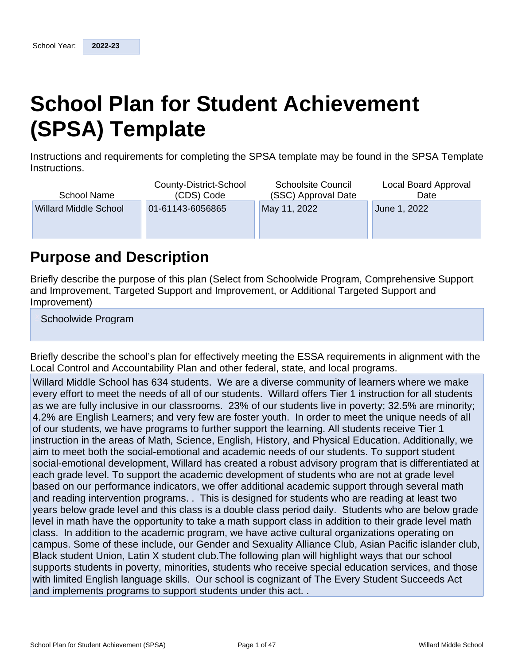# **School Plan for Student Achievement (SPSA) Template**

Instructions and requirements for completing the SPSA template may be found in the SPSA Template Instructions.

| School Name                  | County-District-School<br>(CDS) Code | <b>Schoolsite Council</b><br>(SSC) Approval Date | Local Board Approval<br>Date |
|------------------------------|--------------------------------------|--------------------------------------------------|------------------------------|
| <b>Willard Middle School</b> | 01-61143-6056865                     | May 11, 2022                                     | June 1, 2022                 |
|                              |                                      |                                                  |                              |

# **Purpose and Description**

Briefly describe the purpose of this plan (Select from Schoolwide Program, Comprehensive Support and Improvement, Targeted Support and Improvement, or Additional Targeted Support and Improvement)

Schoolwide Program

Briefly describe the school's plan for effectively meeting the ESSA requirements in alignment with the Local Control and Accountability Plan and other federal, state, and local programs.

Willard Middle School has 634 students. We are a diverse community of learners where we make every effort to meet the needs of all of our students. Willard offers Tier 1 instruction for all students as we are fully inclusive in our classrooms. 23% of our students live in poverty; 32.5% are minority; 4.2% are English Learners; and very few are foster youth. In order to meet the unique needs of all of our students, we have programs to further support the learning. All students receive Tier 1 instruction in the areas of Math, Science, English, History, and Physical Education. Additionally, we aim to meet both the social-emotional and academic needs of our students. To support student social-emotional development, Willard has created a robust advisory program that is differentiated at each grade level. To support the academic development of students who are not at grade level based on our performance indicators, we offer additional academic support through several math and reading intervention programs. . This is designed for students who are reading at least two years below grade level and this class is a double class period daily. Students who are below grade level in math have the opportunity to take a math support class in addition to their grade level math class. In addition to the academic program, we have active cultural organizations operating on campus. Some of these include, our Gender and Sexuality Alliance Club, Asian Pacific islander club, Black student Union, Latin X student club.The following plan will highlight ways that our school supports students in poverty, minorities, students who receive special education services, and those with limited English language skills. Our school is cognizant of The Every Student Succeeds Act and implements programs to support students under this act. .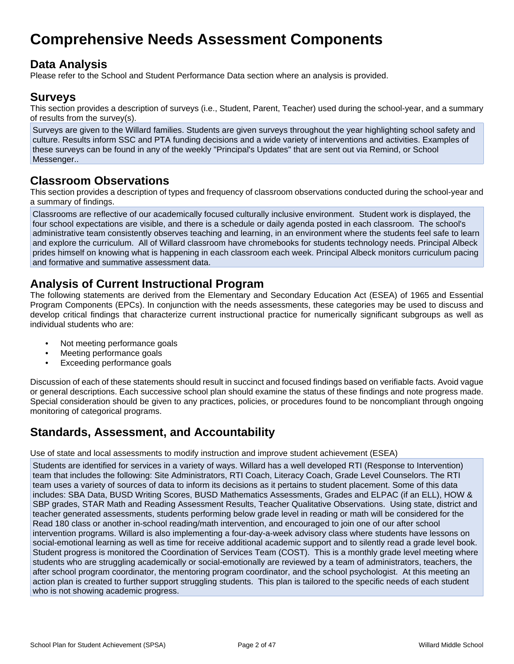# **Comprehensive Needs Assessment Components**

# **Data Analysis**

Please refer to the School and Student Performance Data section where an analysis is provided.

### **Surveys**

This section provides a description of surveys (i.e., Student, Parent, Teacher) used during the school-year, and a summary of results from the survey(s).

Surveys are given to the Willard families. Students are given surveys throughout the year highlighting school safety and culture. Results inform SSC and PTA funding decisions and a wide variety of interventions and activities. Examples of these surveys can be found in any of the weekly "Principal's Updates" that are sent out via Remind, or School Messenger..

### **Classroom Observations**

This section provides a description of types and frequency of classroom observations conducted during the school-year and a summary of findings.

Classrooms are reflective of our academically focused culturally inclusive environment. Student work is displayed, the four school expectations are visible, and there is a schedule or daily agenda posted in each classroom. The school's administrative team consistently observes teaching and learning, in an environment where the students feel safe to learn and explore the curriculum. All of Willard classroom have chromebooks for students technology needs. Principal Albeck prides himself on knowing what is happening in each classroom each week. Principal Albeck monitors curriculum pacing and formative and summative assessment data.

# **Analysis of Current Instructional Program**

The following statements are derived from the Elementary and Secondary Education Act (ESEA) of 1965 and Essential Program Components (EPCs). In conjunction with the needs assessments, these categories may be used to discuss and develop critical findings that characterize current instructional practice for numerically significant subgroups as well as individual students who are:

- Not meeting performance goals
- Meeting performance goals
- Exceeding performance goals

Discussion of each of these statements should result in succinct and focused findings based on verifiable facts. Avoid vague or general descriptions. Each successive school plan should examine the status of these findings and note progress made. Special consideration should be given to any practices, policies, or procedures found to be noncompliant through ongoing monitoring of categorical programs.

# **Standards, Assessment, and Accountability**

Use of state and local assessments to modify instruction and improve student achievement (ESEA)

Students are identified for services in a variety of ways. Willard has a well developed RTI (Response to Intervention) team that includes the following: Site Administrators, RTI Coach, Literacy Coach, Grade Level Counselors. The RTI team uses a variety of sources of data to inform its decisions as it pertains to student placement. Some of this data includes: SBA Data, BUSD Writing Scores, BUSD Mathematics Assessments, Grades and ELPAC (if an ELL), HOW & SBP grades, STAR Math and Reading Assessment Results, Teacher Qualitative Observations. Using state, district and teacher generated assessments, students performing below grade level in reading or math will be considered for the Read 180 class or another in-school reading/math intervention, and encouraged to join one of our after school intervention programs. Willard is also implementing a four-day-a-week advisory class where students have lessons on social-emotional learning as well as time for receive additional academic support and to silently read a grade level book. Student progress is monitored the Coordination of Services Team (COST). This is a monthly grade level meeting where students who are struggling academically or social-emotionally are reviewed by a team of administrators, teachers, the after school program coordinator, the mentoring program coordinator, and the school psychologist. At this meeting an action plan is created to further support struggling students. This plan is tailored to the specific needs of each student who is not showing academic progress.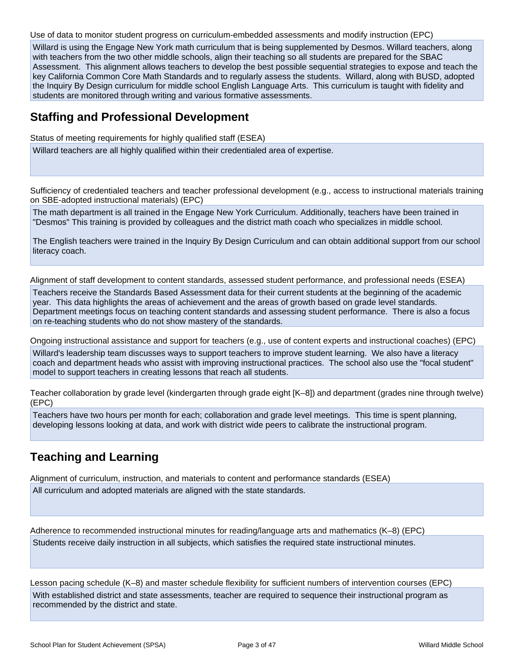Use of data to monitor student progress on curriculum-embedded assessments and modify instruction (EPC)

Willard is using the Engage New York math curriculum that is being supplemented by Desmos. Willard teachers, along with teachers from the two other middle schools, align their teaching so all students are prepared for the SBAC Assessment. This alignment allows teachers to develop the best possible sequential strategies to expose and teach the key California Common Core Math Standards and to regularly assess the students. Willard, along with BUSD, adopted the Inquiry By Design curriculum for middle school English Language Arts. This curriculum is taught with fidelity and students are monitored through writing and various formative assessments.

### **Staffing and Professional Development**

Status of meeting requirements for highly qualified staff (ESEA)

Willard teachers are all highly qualified within their credentialed area of expertise.

Sufficiency of credentialed teachers and teacher professional development (e.g., access to instructional materials training on SBE-adopted instructional materials) (EPC)

The math department is all trained in the Engage New York Curriculum. Additionally, teachers have been trained in "Desmos" This training is provided by colleagues and the district math coach who specializes in middle school.

The English teachers were trained in the Inquiry By Design Curriculum and can obtain additional support from our school literacy coach.

Alignment of staff development to content standards, assessed student performance, and professional needs (ESEA)

Teachers receive the Standards Based Assessment data for their current students at the beginning of the academic year. This data highlights the areas of achievement and the areas of growth based on grade level standards. Department meetings focus on teaching content standards and assessing student performance. There is also a focus on re-teaching students who do not show mastery of the standards.

Ongoing instructional assistance and support for teachers (e.g., use of content experts and instructional coaches) (EPC) Willard's leadership team discusses ways to support teachers to improve student learning. We also have a literacy coach and department heads who assist with improving instructional practices. The school also use the "focal student" model to support teachers in creating lessons that reach all students.

Teacher collaboration by grade level (kindergarten through grade eight [K–8]) and department (grades nine through twelve) (EPC)

Teachers have two hours per month for each; collaboration and grade level meetings. This time is spent planning, developing lessons looking at data, and work with district wide peers to calibrate the instructional program.

# **Teaching and Learning**

Alignment of curriculum, instruction, and materials to content and performance standards (ESEA)

All curriculum and adopted materials are aligned with the state standards.

Adherence to recommended instructional minutes for reading/language arts and mathematics (K–8) (EPC) Students receive daily instruction in all subjects, which satisfies the required state instructional minutes.

Lesson pacing schedule (K–8) and master schedule flexibility for sufficient numbers of intervention courses (EPC) With established district and state assessments, teacher are required to sequence their instructional program as recommended by the district and state.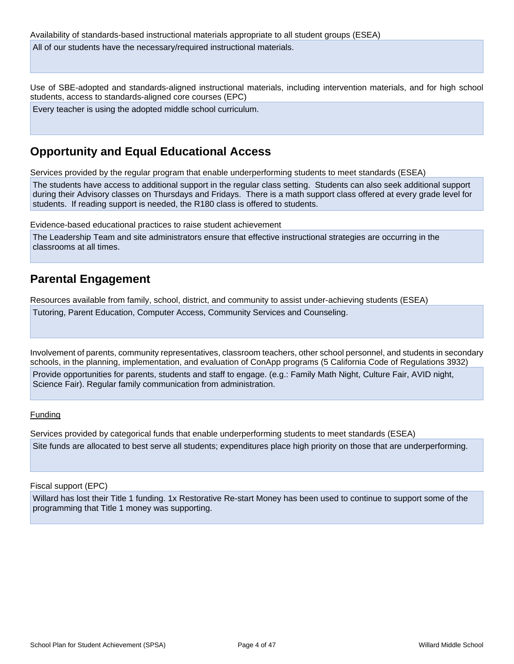Use of SBE-adopted and standards-aligned instructional materials, including intervention materials, and for high school students, access to standards-aligned core courses (EPC)

Every teacher is using the adopted middle school curriculum.

# **Opportunity and Equal Educational Access**

Services provided by the regular program that enable underperforming students to meet standards (ESEA)

The students have access to additional support in the regular class setting. Students can also seek additional support during their Advisory classes on Thursdays and Fridays. There is a math support class offered at every grade level for students. If reading support is needed, the R180 class is offered to students.

Evidence-based educational practices to raise student achievement

The Leadership Team and site administrators ensure that effective instructional strategies are occurring in the classrooms at all times.

# **Parental Engagement**

Resources available from family, school, district, and community to assist under-achieving students (ESEA)

Tutoring, Parent Education, Computer Access, Community Services and Counseling.

Involvement of parents, community representatives, classroom teachers, other school personnel, and students in secondary schools, in the planning, implementation, and evaluation of ConApp programs (5 California Code of Regulations 3932) Provide opportunities for parents, students and staff to engage. (e.g.: Family Math Night, Culture Fair, AVID night, Science Fair). Regular family communication from administration.

#### Funding

Services provided by categorical funds that enable underperforming students to meet standards (ESEA) Site funds are allocated to best serve all students; expenditures place high priority on those that are underperforming.

Fiscal support (EPC)

Willard has lost their Title 1 funding. 1x Restorative Re-start Money has been used to continue to support some of the programming that Title 1 money was supporting.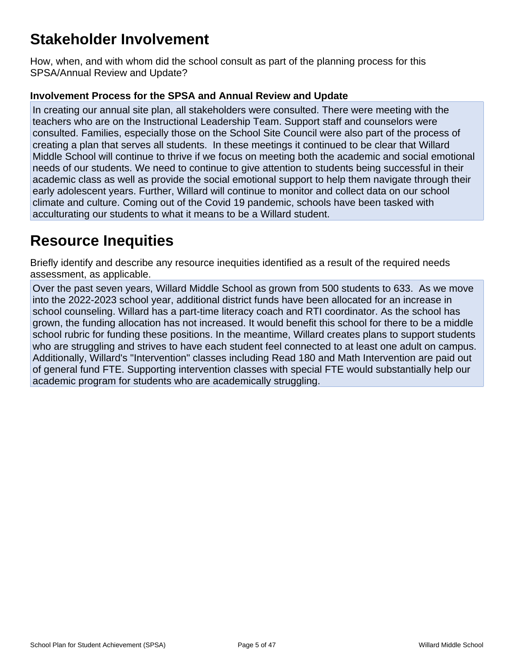# **Stakeholder Involvement**

How, when, and with whom did the school consult as part of the planning process for this SPSA/Annual Review and Update?

### **Involvement Process for the SPSA and Annual Review and Update**

In creating our annual site plan, all stakeholders were consulted. There were meeting with the teachers who are on the Instructional Leadership Team. Support staff and counselors were consulted. Families, especially those on the School Site Council were also part of the process of creating a plan that serves all students. In these meetings it continued to be clear that Willard Middle School will continue to thrive if we focus on meeting both the academic and social emotional needs of our students. We need to continue to give attention to students being successful in their academic class as well as provide the social emotional support to help them navigate through their early adolescent years. Further, Willard will continue to monitor and collect data on our school climate and culture. Coming out of the Covid 19 pandemic, schools have been tasked with acculturating our students to what it means to be a Willard student.

# **Resource Inequities**

Briefly identify and describe any resource inequities identified as a result of the required needs assessment, as applicable.

Over the past seven years, Willard Middle School as grown from 500 students to 633. As we move into the 2022-2023 school year, additional district funds have been allocated for an increase in school counseling. Willard has a part-time literacy coach and RTI coordinator. As the school has grown, the funding allocation has not increased. It would benefit this school for there to be a middle school rubric for funding these positions. In the meantime, Willard creates plans to support students who are struggling and strives to have each student feel connected to at least one adult on campus. Additionally, Willard's "Intervention" classes including Read 180 and Math Intervention are paid out of general fund FTE. Supporting intervention classes with special FTE would substantially help our academic program for students who are academically struggling.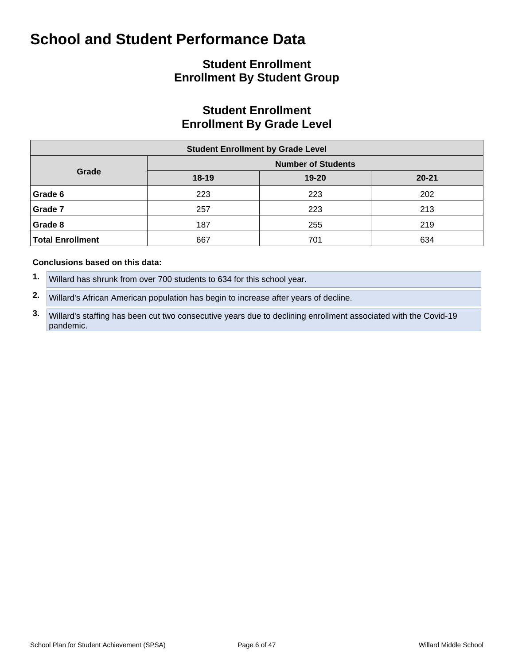# **Student Enrollment Enrollment By Student Group**

# **Student Enrollment Enrollment By Grade Level**

| <b>Student Enrollment by Grade Level</b> |         |                           |           |  |  |  |  |  |  |  |
|------------------------------------------|---------|---------------------------|-----------|--|--|--|--|--|--|--|
|                                          |         | <b>Number of Students</b> |           |  |  |  |  |  |  |  |
| Grade                                    | $18-19$ | $19 - 20$                 | $20 - 21$ |  |  |  |  |  |  |  |
| Grade 6                                  | 223     | 223                       | 202       |  |  |  |  |  |  |  |
| Grade 7                                  | 257     | 223                       | 213       |  |  |  |  |  |  |  |
| Grade 8                                  | 187     | 255                       | 219       |  |  |  |  |  |  |  |
| <b>Total Enrollment</b>                  | 667     | 701                       | 634       |  |  |  |  |  |  |  |

#### **Conclusions based on this data:**

- **1.** Willard has shrunk from over 700 students to 634 for this school year.
- **2.** Willard's African American population has begin to increase after years of decline.

**3.** Willard's staffing has been cut two consecutive years due to declining enrollment associated with the Covid-19 pandemic.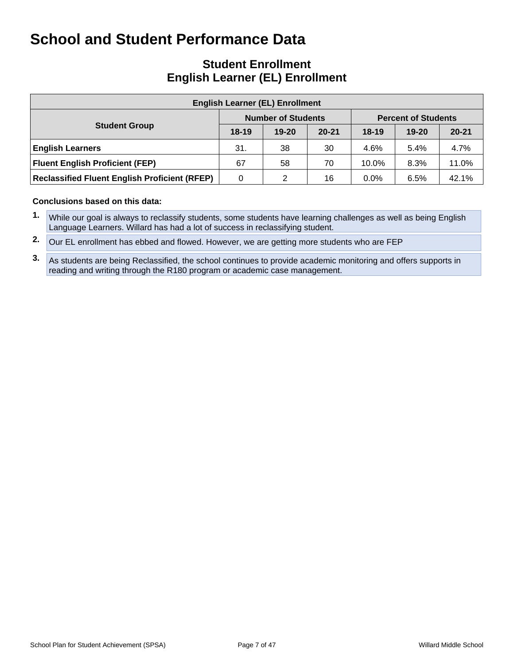## **Student Enrollment English Learner (EL) Enrollment**

| <b>English Learner (EL) Enrollment</b>               |         |                           |           |         |                            |           |  |  |  |  |  |
|------------------------------------------------------|---------|---------------------------|-----------|---------|----------------------------|-----------|--|--|--|--|--|
|                                                      |         | <b>Number of Students</b> |           |         | <b>Percent of Students</b> |           |  |  |  |  |  |
| <b>Student Group</b>                                 | $18-19$ | $19 - 20$                 | $20 - 21$ | $18-19$ | $19 - 20$                  | $20 - 21$ |  |  |  |  |  |
| <b>English Learners</b>                              | 31.     | 38                        | 30        | 4.6%    | 5.4%                       | 4.7%      |  |  |  |  |  |
| <b>Fluent English Proficient (FEP)</b>               | 67      | 58                        | 70        | 10.0%   | 8.3%                       | 11.0%     |  |  |  |  |  |
| <b>Reclassified Fluent English Proficient (RFEP)</b> | 0       | 2                         | 16        | $0.0\%$ | 6.5%                       | 42.1%     |  |  |  |  |  |

- **1.** While our goal is always to reclassify students, some students have learning challenges as well as being English Language Learners. Willard has had a lot of success in reclassifying student.
- **2.** Our EL enrollment has ebbed and flowed. However, we are getting more students who are FEP
- **3.** As students are being Reclassified, the school continues to provide academic monitoring and offers supports in reading and writing through the R180 program or academic case management.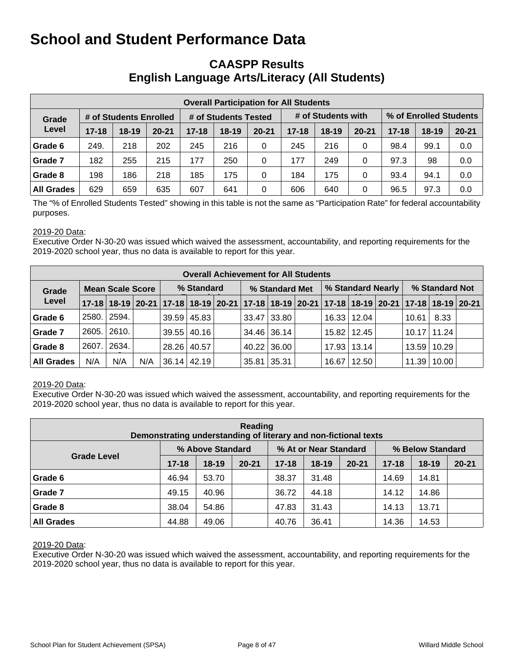### **CAASPP Results English Language Arts/Literacy (All Students)**

| <b>Overall Participation for All Students</b> |           |                        |           |           |                      |           |           |                    |           |                        |         |           |  |
|-----------------------------------------------|-----------|------------------------|-----------|-----------|----------------------|-----------|-----------|--------------------|-----------|------------------------|---------|-----------|--|
| Grade                                         |           | # of Students Enrolled |           |           | # of Students Tested |           |           | # of Students with |           | % of Enrolled Students |         |           |  |
| Level                                         | $17 - 18$ | $18 - 19$              | $20 - 21$ | $17 - 18$ | $18 - 19$            | $20 - 21$ | $17 - 18$ | $18 - 19$          | $20 - 21$ | $17 - 18$              | $18-19$ | $20 - 21$ |  |
| Grade 6                                       | 249.      | 218                    | 202       | 245       | 216                  | 0         | 245       | 216                | 0         | 98.4                   | 99.1    | 0.0       |  |
| Grade 7                                       | 182       | 255                    | 215       | 177       | 250                  | 0         | 177       | 249                | 0         | 97.3                   | 98      | 0.0       |  |
| Grade 8                                       | 198       | 186                    | 218       | 185       | 175                  | 0         | 184       | 175                | 0         | 93.4                   | 94.1    | 0.0       |  |
| <b>All Grades</b>                             | 629       | 659                    | 635       | 607       | 641                  | 0         | 606       | 640                | 0         | 96.5                   | 97.3    | 0.0       |  |

The "% of Enrolled Students Tested" showing in this table is not the same as "Participation Rate" for federal accountability purposes.

#### 2019-20 Data:

Executive Order N-30-20 was issued which waived the assessment, accountability, and reporting requirements for the 2019-2020 school year, thus no data is available to report for this year.

|                   | <b>Overall Achievement for All Students</b> |                         |                                                                                           |            |                    |  |                |               |  |                   |                    |  |                 |                   |  |
|-------------------|---------------------------------------------|-------------------------|-------------------------------------------------------------------------------------------|------------|--------------------|--|----------------|---------------|--|-------------------|--------------------|--|-----------------|-------------------|--|
| Grade             |                                             | <b>Mean Scale Score</b> |                                                                                           | % Standard |                    |  | % Standard Met |               |  | % Standard Nearly |                    |  | % Standard Not  |                   |  |
| Level             |                                             |                         | 17-18 18-19 20-21 17-18 18-19 20-21 17-18 18-19 20-21 17-18 18-19 20-21 17-18 18-19 20-21 |            |                    |  |                |               |  |                   |                    |  |                 |                   |  |
| Grade 6           | 2580.1                                      | 2594.                   |                                                                                           |            | $39.59 \mid 45.83$ |  |                | 33.47 33.80   |  |                   | $16.33 \mid 12.04$ |  | 10.61           | 8.33              |  |
| Grade 7           | 2605.                                       | 2610.                   |                                                                                           |            | $39.55$   40.16    |  |                | 34.46 36.14   |  |                   | 15.82   12.45      |  | $10.17$   11.24 |                   |  |
| Grade 8           | 2607.                                       | 2634.                   |                                                                                           |            | 28.26 40.57        |  |                | $40.22$ 36.00 |  |                   | 17.93   13.14      |  | 13.59   10.29   |                   |  |
| <b>All Grades</b> | N/A                                         | N/A                     | N/A                                                                                       |            | $36.14 \mid 42.19$ |  | 35.81 35.31    |               |  | 16.67             | 12.50              |  |                 | $11.39$   $10.00$ |  |

#### 2019-20 Data:

Executive Order N-30-20 was issued which waived the assessment, accountability, and reporting requirements for the 2019-2020 school year, thus no data is available to report for this year.

| Reading<br>Demonstrating understanding of literary and non-fictional texts |           |                  |           |           |                       |           |                  |           |           |  |  |  |  |
|----------------------------------------------------------------------------|-----------|------------------|-----------|-----------|-----------------------|-----------|------------------|-----------|-----------|--|--|--|--|
|                                                                            |           | % Above Standard |           |           | % At or Near Standard |           | % Below Standard |           |           |  |  |  |  |
| <b>Grade Level</b>                                                         | $17 - 18$ | $18-19$          | $20 - 21$ | $17 - 18$ | $18-19$               | $20 - 21$ | $17 - 18$        | $18 - 19$ | $20 - 21$ |  |  |  |  |
| Grade 6                                                                    | 46.94     | 53.70            |           | 38.37     | 31.48                 |           | 14.69            | 14.81     |           |  |  |  |  |
| Grade 7                                                                    | 49.15     | 40.96            |           | 36.72     | 44.18                 |           | 14.12            | 14.86     |           |  |  |  |  |
| Grade 8                                                                    | 38.04     | 54.86            |           | 47.83     | 31.43                 |           | 14.13            | 13.71     |           |  |  |  |  |
| <b>All Grades</b>                                                          | 44.88     | 49.06            |           | 40.76     | 36.41                 |           | 14.36            | 14.53     |           |  |  |  |  |

#### 2019-20 Data:

Executive Order N-30-20 was issued which waived the assessment, accountability, and reporting requirements for the 2019-2020 school year, thus no data is available to report for this year.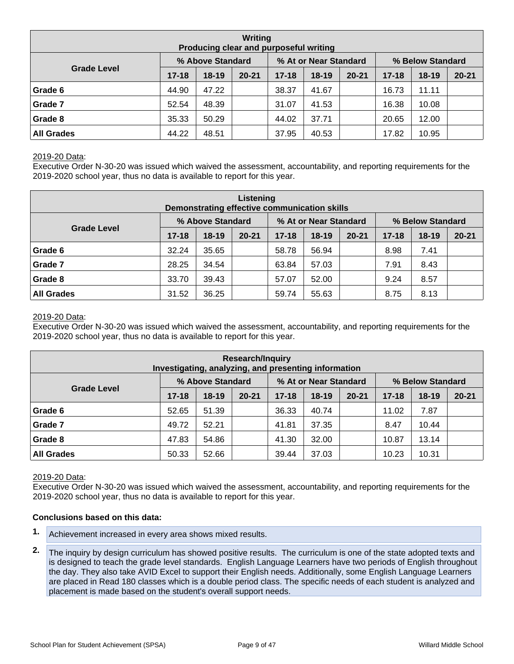| Writing<br>Producing clear and purposeful writing |                  |         |                       |           |                  |           |           |           |           |  |  |  |  |
|---------------------------------------------------|------------------|---------|-----------------------|-----------|------------------|-----------|-----------|-----------|-----------|--|--|--|--|
|                                                   | % Above Standard |         | % At or Near Standard |           | % Below Standard |           |           |           |           |  |  |  |  |
| <b>Grade Level</b>                                | $17 - 18$        | $18-19$ | $20 - 21$             | $17 - 18$ | $18-19$          | $20 - 21$ | $17 - 18$ | $18 - 19$ | $20 - 21$ |  |  |  |  |
| Grade 6                                           | 44.90            | 47.22   |                       | 38.37     | 41.67            |           | 16.73     | 11.11     |           |  |  |  |  |
| Grade 7                                           | 52.54            | 48.39   |                       | 31.07     | 41.53            |           | 16.38     | 10.08     |           |  |  |  |  |
| Grade 8                                           | 35.33            | 50.29   |                       | 44.02     | 37.71            |           | 20.65     | 12.00     |           |  |  |  |  |
| <b>All Grades</b>                                 | 44.22            | 48.51   |                       | 37.95     | 40.53            |           | 17.82     | 10.95     |           |  |  |  |  |

#### 2019-20 Data:

Executive Order N-30-20 was issued which waived the assessment, accountability, and reporting requirements for the 2019-2020 school year, thus no data is available to report for this year.

| Listening<br>Demonstrating effective communication skills |           |                  |           |           |                       |           |                  |           |           |  |  |  |  |
|-----------------------------------------------------------|-----------|------------------|-----------|-----------|-----------------------|-----------|------------------|-----------|-----------|--|--|--|--|
|                                                           |           | % Above Standard |           |           | % At or Near Standard |           | % Below Standard |           |           |  |  |  |  |
| <b>Grade Level</b>                                        | $17 - 18$ | $18 - 19$        | $20 - 21$ | $17 - 18$ | $18-19$               | $20 - 21$ | $17 - 18$        | $18 - 19$ | $20 - 21$ |  |  |  |  |
| Grade 6                                                   | 32.24     | 35.65            |           | 58.78     | 56.94                 |           | 8.98             | 7.41      |           |  |  |  |  |
| Grade 7                                                   | 28.25     | 34.54            |           | 63.84     | 57.03                 |           | 7.91             | 8.43      |           |  |  |  |  |
| Grade 8                                                   | 33.70     | 39.43            |           | 57.07     | 52.00                 |           | 9.24             | 8.57      |           |  |  |  |  |
| <b>All Grades</b>                                         | 31.52     | 36.25            |           | 59.74     | 55.63                 |           | 8.75             | 8.13      |           |  |  |  |  |

#### 2019-20 Data:

Executive Order N-30-20 was issued which waived the assessment, accountability, and reporting requirements for the 2019-2020 school year, thus no data is available to report for this year.

| <b>Research/Inquiry</b><br>Investigating, analyzing, and presenting information |           |                  |           |           |                       |           |                  |           |           |  |  |  |  |
|---------------------------------------------------------------------------------|-----------|------------------|-----------|-----------|-----------------------|-----------|------------------|-----------|-----------|--|--|--|--|
|                                                                                 |           | % Above Standard |           |           | % At or Near Standard |           | % Below Standard |           |           |  |  |  |  |
| <b>Grade Level</b>                                                              | $17 - 18$ | $18-19$          | $20 - 21$ | $17 - 18$ | $18 - 19$             | $20 - 21$ | $17 - 18$        | $18 - 19$ | $20 - 21$ |  |  |  |  |
| Grade 6                                                                         | 52.65     | 51.39            |           | 36.33     | 40.74                 |           | 11.02            | 7.87      |           |  |  |  |  |
| Grade 7                                                                         | 49.72     | 52.21            |           | 41.81     | 37.35                 |           | 8.47             | 10.44     |           |  |  |  |  |
| Grade 8                                                                         | 47.83     | 54.86            |           | 41.30     | 32.00                 |           | 10.87            | 13.14     |           |  |  |  |  |
| <b>All Grades</b><br>52.66<br>39.44<br>37.03<br>10.23<br>10.31<br>50.33         |           |                  |           |           |                       |           |                  |           |           |  |  |  |  |

#### 2019-20 Data:

Executive Order N-30-20 was issued which waived the assessment, accountability, and reporting requirements for the 2019-2020 school year, thus no data is available to report for this year.

- **1.** Achievement increased in every area shows mixed results.
- **2.** The inquiry by design curriculum has showed positive results. The curriculum is one of the state adopted texts and is designed to teach the grade level standards. English Language Learners have two periods of English throughout the day. They also take AVID Excel to support their English needs. Additionally, some English Language Learners are placed in Read 180 classes which is a double period class. The specific needs of each student is analyzed and placement is made based on the student's overall support needs.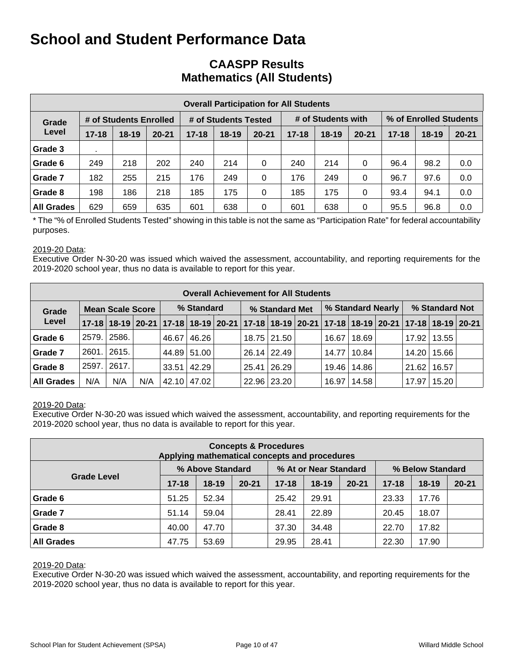## **CAASPP Results Mathematics (All Students)**

|                   | <b>Overall Participation for All Students</b> |                        |           |           |                      |           |           |                    |           |                        |         |           |  |  |  |
|-------------------|-----------------------------------------------|------------------------|-----------|-----------|----------------------|-----------|-----------|--------------------|-----------|------------------------|---------|-----------|--|--|--|
| Grade             |                                               | # of Students Enrolled |           |           | # of Students Tested |           |           | # of Students with |           | % of Enrolled Students |         |           |  |  |  |
| Level             | $17 - 18$                                     | $18 - 19$              | $20 - 21$ | $17 - 18$ | $18 - 19$            | $20 - 21$ | $17 - 18$ | $18 - 19$          | $20 - 21$ | $17 - 18$              | $18-19$ | $20 - 21$ |  |  |  |
| Grade 3           |                                               |                        |           |           |                      |           |           |                    |           |                        |         |           |  |  |  |
| Grade 6           | 249                                           | 218                    | 202       | 240       | 214                  | 0         | 240       | 214                | 0         | 96.4                   | 98.2    | 0.0       |  |  |  |
| Grade 7           | 182                                           | 255                    | 215       | 176       | 249                  | 0         | 176       | 249                | 0         | 96.7                   | 97.6    | 0.0       |  |  |  |
| Grade 8           | 198                                           | 186                    | 218       | 185       | 175                  | 0         | 185       | 175                | 0         | 93.4                   | 94.1    | 0.0       |  |  |  |
| <b>All Grades</b> | 629                                           | 659                    | 635       | 601       | 638                  | 0         | 601       | 638                | 0         | 95.5                   | 96.8    | 0.0       |  |  |  |

\* The "% of Enrolled Students Tested" showing in this table is not the same as "Participation Rate" for federal accountability purposes.

#### 2019-20 Data:

Executive Order N-30-20 was issued which waived the assessment, accountability, and reporting requirements for the 2019-2020 school year, thus no data is available to report for this year.

|                                  | <b>Overall Achievement for All Students</b> |       |     |            |                    |  |                                                                                                             |             |  |                   |       |  |                |       |  |
|----------------------------------|---------------------------------------------|-------|-----|------------|--------------------|--|-------------------------------------------------------------------------------------------------------------|-------------|--|-------------------|-------|--|----------------|-------|--|
| <b>Mean Scale Score</b><br>Grade |                                             |       |     | % Standard |                    |  | % Standard Met                                                                                              |             |  | % Standard Nearly |       |  | % Standard Not |       |  |
| Level                            |                                             |       |     |            |                    |  | 17-18 18-19 20-21 17-18 18-19 20-21 17-18 18-19 20-21 17-18 18-19 20-21 17-18 18-19 20-21 17-18 18-19 20-21 |             |  |                   |       |  |                |       |  |
| Grade 6                          | 2579.                                       | 2586. |     | 46.67      | 46.26              |  |                                                                                                             | 18.75 21.50 |  | 16.67             | 18.69 |  | 17.92          | 13.55 |  |
| Grade 7                          | 2601.                                       | 2615. |     |            | 44.89 51.00        |  |                                                                                                             | 26.14 22.49 |  | 14.77             | 10.84 |  | 14.20          | 15.66 |  |
| Grade 8                          | 2597.                                       | 2617. |     |            | $33.51 \mid 42.29$ |  |                                                                                                             | 25.41 26.29 |  | 19.46             | 14.86 |  | 21.62          | 16.57 |  |
| <b>All Grades</b>                | N/A                                         | N/A   | N/A |            | 42.10 47.02        |  |                                                                                                             | 22.96 23.20 |  | 16.97             | 14.58 |  | 17.97          | 15.20 |  |

#### 2019-20 Data:

Executive Order N-30-20 was issued which waived the assessment, accountability, and reporting requirements for the 2019-2020 school year, thus no data is available to report for this year.

| <b>Concepts &amp; Procedures</b><br>Applying mathematical concepts and procedures |           |                  |           |           |                       |           |                  |         |           |  |  |  |  |
|-----------------------------------------------------------------------------------|-----------|------------------|-----------|-----------|-----------------------|-----------|------------------|---------|-----------|--|--|--|--|
|                                                                                   |           | % Above Standard |           |           | % At or Near Standard |           | % Below Standard |         |           |  |  |  |  |
| <b>Grade Level</b>                                                                | $17 - 18$ | $18-19$          | $20 - 21$ | $17 - 18$ | $18-19$               | $20 - 21$ | $17 - 18$        | $18-19$ | $20 - 21$ |  |  |  |  |
| Grade 6                                                                           | 51.25     | 52.34            |           | 25.42     | 29.91                 |           | 23.33            | 17.76   |           |  |  |  |  |
| Grade 7                                                                           | 51.14     | 59.04            |           | 28.41     | 22.89                 |           | 20.45            | 18.07   |           |  |  |  |  |
| Grade 8                                                                           | 40.00     | 47.70            |           | 37.30     | 34.48                 |           | 22.70            | 17.82   |           |  |  |  |  |
| <b>All Grades</b><br>28.41<br>53.69<br>29.95<br>47.75                             |           |                  |           |           |                       |           |                  | 17.90   |           |  |  |  |  |

#### 2019-20 Data:

Executive Order N-30-20 was issued which waived the assessment, accountability, and reporting requirements for the 2019-2020 school year, thus no data is available to report for this year.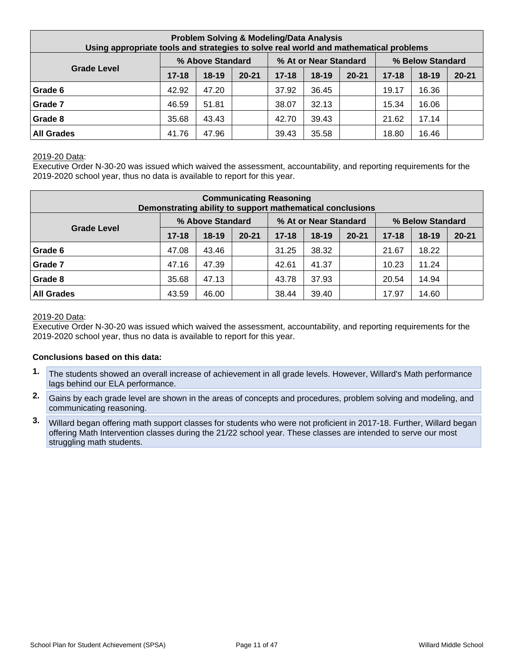| <b>Problem Solving &amp; Modeling/Data Analysis</b><br>Using appropriate tools and strategies to solve real world and mathematical problems |                       |         |                  |           |           |           |           |           |           |  |  |
|---------------------------------------------------------------------------------------------------------------------------------------------|-----------------------|---------|------------------|-----------|-----------|-----------|-----------|-----------|-----------|--|--|
|                                                                                                                                             | % At or Near Standard |         | % Below Standard |           |           |           |           |           |           |  |  |
| <b>Grade Level</b>                                                                                                                          | $17 - 18$             | $18-19$ | $20 - 21$        | $17 - 18$ | $18 - 19$ | $20 - 21$ | $17 - 18$ | $18 - 19$ | $20 - 21$ |  |  |
| Grade 6                                                                                                                                     | 42.92                 | 47.20   |                  | 37.92     | 36.45     |           | 19.17     | 16.36     |           |  |  |
| Grade 7                                                                                                                                     | 46.59                 | 51.81   |                  | 38.07     | 32.13     |           | 15.34     | 16.06     |           |  |  |
| Grade 8                                                                                                                                     | 35.68                 | 43.43   |                  | 42.70     | 39.43     |           | 21.62     | 17.14     |           |  |  |
| <b>All Grades</b>                                                                                                                           | 41.76                 | 47.96   |                  | 39.43     | 35.58     |           | 18.80     | 16.46     |           |  |  |

#### 2019-20 Data:

Executive Order N-30-20 was issued which waived the assessment, accountability, and reporting requirements for the 2019-2020 school year, thus no data is available to report for this year.

| <b>Communicating Reasoning</b><br>Demonstrating ability to support mathematical conclusions |           |           |           |           |       |           |           |           |                  |  |  |
|---------------------------------------------------------------------------------------------|-----------|-----------|-----------|-----------|-------|-----------|-----------|-----------|------------------|--|--|
| % Above Standard<br>% At or Near Standard                                                   |           |           |           |           |       |           |           |           | % Below Standard |  |  |
| <b>Grade Level</b>                                                                          | $17 - 18$ | $18 - 19$ | $20 - 21$ | $17 - 18$ | 18-19 | $20 - 21$ | $17 - 18$ | $18 - 19$ | $20 - 21$        |  |  |
| Grade 6                                                                                     | 47.08     | 43.46     |           | 31.25     | 38.32 |           | 21.67     | 18.22     |                  |  |  |
| Grade 7                                                                                     | 47.16     | 47.39     |           | 42.61     | 41.37 |           | 10.23     | 11.24     |                  |  |  |
| Grade 8                                                                                     | 35.68     | 47.13     |           | 43.78     | 37.93 |           | 20.54     | 14.94     |                  |  |  |
| <b>All Grades</b>                                                                           | 43.59     | 46.00     |           | 38.44     | 39.40 |           | 17.97     | 14.60     |                  |  |  |

#### 2019-20 Data:

Executive Order N-30-20 was issued which waived the assessment, accountability, and reporting requirements for the 2019-2020 school year, thus no data is available to report for this year.

- **1.** The students showed an overall increase of achievement in all grade levels. However, Willard's Math performance lags behind our ELA performance.
- **2.** Gains by each grade level are shown in the areas of concepts and procedures, problem solving and modeling, and communicating reasoning.
- **3.** Willard began offering math support classes for students who were not proficient in 2017-18. Further, Willard began offering Math Intervention classes during the 21/22 school year. These classes are intended to serve our most struggling math students.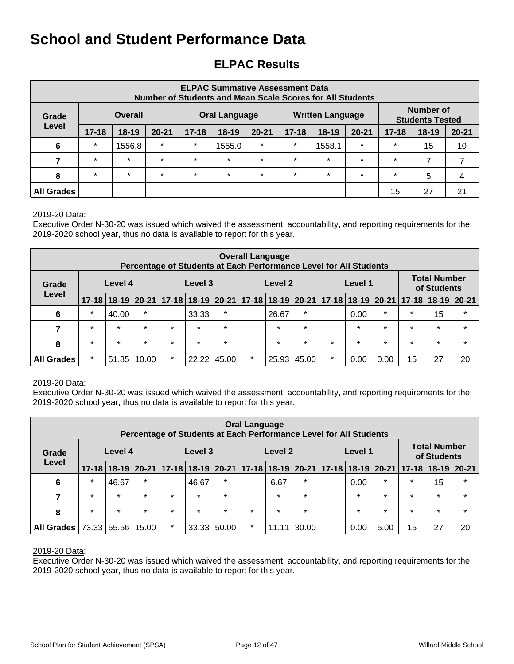# **ELPAC Results**

| <b>ELPAC Summative Assessment Data</b><br><b>Number of Students and Mean Scale Scores for All Students</b>                |                |                |           |           |                                                                                                    |         |         |                         |         |         |                                     |    |
|---------------------------------------------------------------------------------------------------------------------------|----------------|----------------|-----------|-----------|----------------------------------------------------------------------------------------------------|---------|---------|-------------------------|---------|---------|-------------------------------------|----|
| Grade                                                                                                                     |                | <b>Overall</b> |           |           | <b>Oral Language</b>                                                                               |         |         | <b>Written Language</b> |         |         | Number of<br><b>Students Tested</b> |    |
| Level                                                                                                                     | $17 - 18$      | $18 - 19$      | $20 - 21$ | $17 - 18$ | $20 - 21$<br>$20 - 21$<br>$18 - 19$<br>$17 - 18$<br>$18 - 19$<br>$17 - 18$<br>$20 - 21$<br>$18-19$ |         |         |                         |         |         |                                     |    |
| 6                                                                                                                         | $\star$        | 1556.8         | $\star$   | $\star$   | $\star$<br>$\star$<br>$\star$<br>$\star$<br>1555.0<br>1558.1                                       |         |         |                         |         |         | 15                                  | 10 |
| 7                                                                                                                         | $\star$        | $\star$        | $\star$   | $\star$   | $\star$                                                                                            | $\star$ | $\star$ | $\star$                 | $\star$ | $\star$ | ⇁                                   |    |
| $\star$<br>$\star$<br>$\star$<br>$\star$<br>$\star$<br>$\star$<br>$\star$<br>$\star$<br>$\star$<br>$\star$<br>5<br>8<br>4 |                |                |           |           |                                                                                                    |         |         |                         |         |         |                                     |    |
| <b>All Grades</b>                                                                                                         | 21<br>15<br>27 |                |           |           |                                                                                                    |         |         |                         |         |         |                                     |    |

#### 2019-20 Data:

Executive Order N-30-20 was issued which waived the assessment, accountability, and reporting requirements for the 2019-2020 school year, thus no data is available to report for this year.

|                   | <b>Overall Language</b><br>Percentage of Students at Each Performance Level for All Students |         |         |                               |         |                    |         |         |         |         |                                    |         |                                               |             |         |
|-------------------|----------------------------------------------------------------------------------------------|---------|---------|-------------------------------|---------|--------------------|---------|---------|---------|---------|------------------------------------|---------|-----------------------------------------------|-------------|---------|
| Grade             | Level 4<br>Level                                                                             |         |         |                               | Level 3 | Level 2<br>Level 1 |         |         |         |         | <b>Total Number</b><br>of Students |         |                                               |             |         |
|                   | $17 - 18$                                                                                    |         |         | 18-19 20-21 17-18 18-19 20-21 |         |                    |         |         |         |         |                                    |         | $ 17-18 18-19 20-21 17-18 18-19 20-21 17-18 $ | 18-19 20-21 |         |
| 6                 | $\star$                                                                                      | 40.00   | $\star$ |                               | 33.33   | $\star$            |         | 26.67   | $\star$ |         | 0.00                               | $\star$ | $\star$                                       | 15          | $\star$ |
| 7                 | $\star$                                                                                      | $\star$ | $\star$ | $\star$                       | $\star$ | $\star$            |         | $\star$ | $\star$ |         | $\star$                            | $\star$ | $\star$                                       | $\star$     | $\star$ |
| 8                 | $\star$                                                                                      | $\star$ | $\star$ | $\star$                       | $\star$ | $\star$            |         | $\star$ | $\star$ | $\star$ | $\star$                            | $\star$ | $\star$                                       | $\star$     | $\star$ |
| <b>All Grades</b> | $\ast$                                                                                       | 51.85   | 10.00   | $\star$                       | 22.22   | 45.00              | $\star$ | 25.93   | 45.00   | $\ast$  | 0.00                               | 0.00    | 15                                            | 27          | 20      |

#### 2019-20 Data:

Executive Order N-30-20 was issued which waived the assessment, accountability, and reporting requirements for the 2019-2020 school year, thus no data is available to report for this year.

|                   | <b>Oral Language</b><br>Percentage of Students at Each Performance Level for All Students |             |         |         |         |         |                                                             |         |         |                                    |         |         |                               |               |         |
|-------------------|-------------------------------------------------------------------------------------------|-------------|---------|---------|---------|---------|-------------------------------------------------------------|---------|---------|------------------------------------|---------|---------|-------------------------------|---------------|---------|
| Grade             | Level 4<br>Level                                                                          |             |         |         | Level 3 |         | Level 2<br>Level 1                                          |         |         | <b>Total Number</b><br>of Students |         |         |                               |               |         |
|                   | $17 - 18$                                                                                 |             |         |         |         |         | 18-19 20-21   17-18   18-19   20-21   17-18   18-19   20-21 |         |         |                                    |         |         | 17-18   18-19   20-21   17-18 | $18-19$ 20-21 |         |
| 6                 | $\ast$                                                                                    | 46.67       | $\star$ |         | 46.67   | $\star$ |                                                             | 6.67    | $\star$ |                                    | 0.00    | $\star$ | $\star$                       | 15            | $\star$ |
| 7                 | $\star$                                                                                   | $\star$     | $\star$ | $\star$ | $\star$ | $\star$ |                                                             | $\star$ | $\star$ |                                    | $\star$ | $\star$ | $\star$                       | $\star$       | $\star$ |
| 8                 | $\star$                                                                                   | $\star$     | $\star$ | $\star$ | $\star$ | $\star$ | $\star$                                                     | $\star$ | $\star$ |                                    | $\star$ | $\star$ | $\star$                       | $\star$       | $\star$ |
| <b>All Grades</b> |                                                                                           | 73.33 55.56 | 15.00   | $\star$ | 33.33   | 50.00   | $\star$                                                     | 11.11   | 30.00   |                                    | 0.00    | 5.00    | 15                            | 27            | 20      |

#### 2019-20 Data:

Executive Order N-30-20 was issued which waived the assessment, accountability, and reporting requirements for the 2019-2020 school year, thus no data is available to report for this year.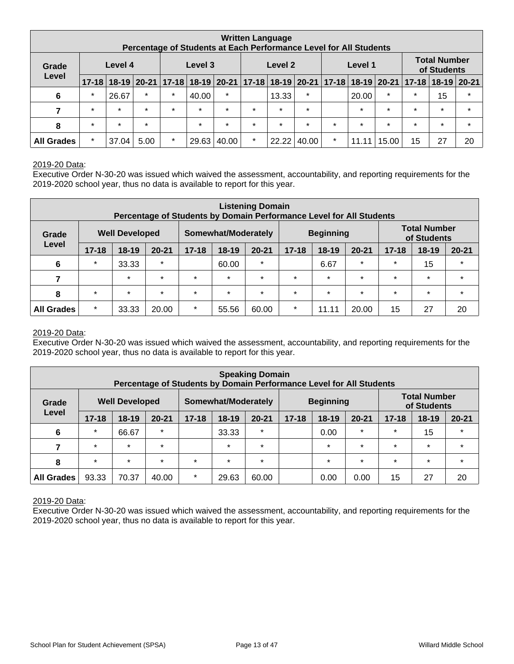|                   |                  |         |         | Percentage of Students at Each Performance Level for All Students                   |         |         |         | <b>Written Language</b> |                                    |         |         |         |         |         |         |
|-------------------|------------------|---------|---------|-------------------------------------------------------------------------------------|---------|---------|---------|-------------------------|------------------------------------|---------|---------|---------|---------|---------|---------|
| Grade             | Level 4<br>Level |         |         | Level 3<br>Level 1<br>Level 2                                                       |         |         |         |                         | <b>Total Number</b><br>of Students |         |         |         |         |         |         |
|                   | $17 - 18$        |         |         | 18-19 20-21 17-18 18-19 20-21 17-18 18-19 20-21 17-18 18-19 20-21 17-18 18-19 20-21 |         |         |         |                         |                                    |         |         |         |         |         |         |
| 6                 | $\star$          | 26.67   | $\star$ | $\star$                                                                             | 40.00   | $\star$ |         | 13.33                   | $\star$                            |         | 20.00   | $\star$ | $\star$ | 15      | $\star$ |
| 7                 | $\star$          | $\star$ | $\star$ | $\star$                                                                             | $\star$ | $\star$ | $\star$ | $\star$                 | $\star$                            |         | $\star$ | $\star$ | $\star$ | $\star$ | $\star$ |
| 8                 | $\star$          | $\star$ | $\star$ |                                                                                     | $\star$ | $\star$ | $\star$ | $\star$                 | $\star$                            | $\star$ | $\star$ | $\star$ | $\star$ | $\star$ | $\star$ |
| <b>All Grades</b> | $\star$          | 37.04   | 5.00    | $\star$                                                                             | 29.63   | 40.00   | $\star$ | 22.22                   | 40.00                              | $\star$ | 11.1    | 15.00   | 15      | 27      | 20      |

#### 2019-20 Data:

Executive Order N-30-20 was issued which waived the assessment, accountability, and reporting requirements for the 2019-2020 school year, thus no data is available to report for this year.

|                   | <b>Listening Domain</b><br>Percentage of Students by Domain Performance Level for All Students |                       |           |                                         |         |           |           |           |           |           |                                    |           |
|-------------------|------------------------------------------------------------------------------------------------|-----------------------|-----------|-----------------------------------------|---------|-----------|-----------|-----------|-----------|-----------|------------------------------------|-----------|
| Grade             |                                                                                                | <b>Well Developed</b> |           | <b>Beginning</b><br>Somewhat/Moderately |         |           |           |           |           |           | <b>Total Number</b><br>of Students |           |
| Level             | $17 - 18$                                                                                      | $18 - 19$             | $20 - 21$ | $17 - 18$                               | $18-19$ | $20 - 21$ | $17 - 18$ | $18 - 19$ | $20 - 21$ | $17 - 18$ | $18 - 19$                          | $20 - 21$ |
| 6                 | $\star$                                                                                        | 33.33                 | $\star$   |                                         | 60.00   | $\star$   |           | 6.67      | $\star$   | $\star$   | 15                                 | $\star$   |
| 7                 |                                                                                                | $\star$               | $\star$   | $\star$                                 | $\star$ | $\star$   | $\star$   | $\star$   | $\star$   | $\star$   | $\star$                            | $\star$   |
| 8                 | $\star$                                                                                        | $\star$               | $\star$   | $\star$                                 | $\star$ | $\star$   | $\star$   | $\star$   | $\star$   | $\star$   | $\star$                            | $\star$   |
| <b>All Grades</b> | $\star$                                                                                        | 33.33                 | 20.00     | $\ast$                                  | 55.56   | 60.00     | $\ast$    | 11.11     | 20.00     | 15        | 27                                 | 20        |

#### 2019-20 Data:

Executive Order N-30-20 was issued which waived the assessment, accountability, and reporting requirements for the 2019-2020 school year, thus no data is available to report for this year.

| <b>Speaking Domain</b><br>Percentage of Students by Domain Performance Level for All Students |           |                       |           |           |                                         |           |           |         |           |                                    |           |           |
|-----------------------------------------------------------------------------------------------|-----------|-----------------------|-----------|-----------|-----------------------------------------|-----------|-----------|---------|-----------|------------------------------------|-----------|-----------|
| Grade                                                                                         |           | <b>Well Developed</b> |           |           | <b>Beginning</b><br>Somewhat/Moderately |           |           |         |           | <b>Total Number</b><br>of Students |           |           |
| Level                                                                                         | $17 - 18$ | $18 - 19$             | $20 - 21$ | $17 - 18$ | $18-19$                                 | $20 - 21$ | $17 - 18$ | $18-19$ | $20 - 21$ | $17 - 18$                          | $18 - 19$ | $20 - 21$ |
| 6                                                                                             | $\star$   | 66.67                 | $\star$   |           | 33.33                                   | $\star$   |           | 0.00    | $\star$   | $\star$                            | 15        | $\star$   |
| 7                                                                                             | $\star$   | $\star$               | $\star$   |           | $\star$                                 | $\star$   |           | $\star$ | $\star$   | $\star$                            | $\star$   | $\star$   |
| 8                                                                                             | $\star$   | $\star$               | $\star$   | $\star$   | $\star$                                 | $\star$   |           | $\star$ | $\star$   | $\star$                            | $\star$   | $\star$   |
| <b>All Grades</b>                                                                             | 93.33     | 70.37                 | 40.00     | $\star$   | 29.63                                   | 60.00     |           | 0.00    | 0.00      | 15                                 | 27        | 20        |

2019-20 Data:

Executive Order N-30-20 was issued which waived the assessment, accountability, and reporting requirements for the 2019-2020 school year, thus no data is available to report for this year.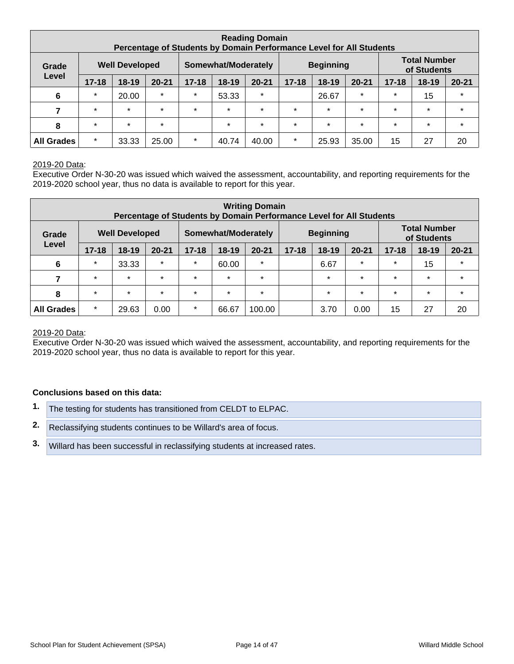| <b>Reading Domain</b><br>Percentage of Students by Domain Performance Level for All Students |           |                       |           |                                         |         |           |           |         |           |                                    |           |           |
|----------------------------------------------------------------------------------------------|-----------|-----------------------|-----------|-----------------------------------------|---------|-----------|-----------|---------|-----------|------------------------------------|-----------|-----------|
| Grade                                                                                        |           | <b>Well Developed</b> |           | <b>Beginning</b><br>Somewhat/Moderately |         |           |           |         |           | <b>Total Number</b><br>of Students |           |           |
| Level                                                                                        | $17 - 18$ | $18 - 19$             | $20 - 21$ | $17 - 18$                               | $18-19$ | $20 - 21$ | $17 - 18$ | $18-19$ | $20 - 21$ | $17 - 18$                          | $18 - 19$ | $20 - 21$ |
| $6\phantom{1}6$                                                                              | $\star$   | 20.00                 | $\star$   | $\star$                                 | 53.33   | $\star$   |           | 26.67   | $\star$   | $\star$                            | 15        | $\star$   |
|                                                                                              | $\star$   | $\star$               | $\star$   | $\star$                                 | $\star$ | $\star$   | $\star$   | $\star$ | $\star$   | $\star$                            | $\star$   | $\star$   |
| 8                                                                                            | $\star$   | $\star$               | $\star$   |                                         | $\star$ | $\star$   | $\star$   | $\star$ | $\star$   | $\star$                            | $\star$   | $\star$   |
| <b>All Grades</b>                                                                            | $\star$   | 33.33                 | 25.00     | $\star$                                 | 40.74   | 40.00     | $\star$   | 25.93   | 35.00     | 15                                 | 27        | 20        |

#### 2019-20 Data:

Executive Order N-30-20 was issued which waived the assessment, accountability, and reporting requirements for the 2019-2020 school year, thus no data is available to report for this year.

|                   | <b>Writing Domain</b><br>Percentage of Students by Domain Performance Level for All Students |                       |           |                                         |         |           |           |           |                                    |           |         |           |
|-------------------|----------------------------------------------------------------------------------------------|-----------------------|-----------|-----------------------------------------|---------|-----------|-----------|-----------|------------------------------------|-----------|---------|-----------|
| Grade             |                                                                                              | <b>Well Developed</b> |           | <b>Beginning</b><br>Somewhat/Moderately |         |           |           |           | <b>Total Number</b><br>of Students |           |         |           |
| Level             | $17 - 18$                                                                                    | $18 - 19$             | $20 - 21$ | $17 - 18$                               | $18-19$ | $20 - 21$ | $17 - 18$ | $18 - 19$ | $20 - 21$                          | $17 - 18$ | $18-19$ | $20 - 21$ |
| $6\phantom{1}6$   | $\star$                                                                                      | 33.33                 | $\star$   | $\star$                                 | 60.00   | $\star$   |           | 6.67      | $\star$                            | $\star$   | 15      | $\star$   |
| 7                 | $\star$                                                                                      | $\star$               | $\star$   | $\star$                                 | $\star$ | $\star$   |           | $\star$   | $\star$                            | $\star$   | $\star$ | $\star$   |
| 8                 | $\star$                                                                                      | $\star$               | $\star$   | $\star$                                 | $\star$ | $\star$   |           | $\star$   | $\star$                            | $\star$   | $\star$ | $\star$   |
| <b>All Grades</b> | $\star$                                                                                      | 29.63                 | 0.00      | $\star$                                 | 66.67   | 100.00    |           | 3.70      | 0.00                               | 15        | 27      | 20        |

#### 2019-20 Data:

Executive Order N-30-20 was issued which waived the assessment, accountability, and reporting requirements for the 2019-2020 school year, thus no data is available to report for this year.

- **1.** The testing for students has transitioned from CELDT to ELPAC.
- **2.** Reclassifying students continues to be Willard's area of focus.
- **3.** Willard has been successful in reclassifying students at increased rates.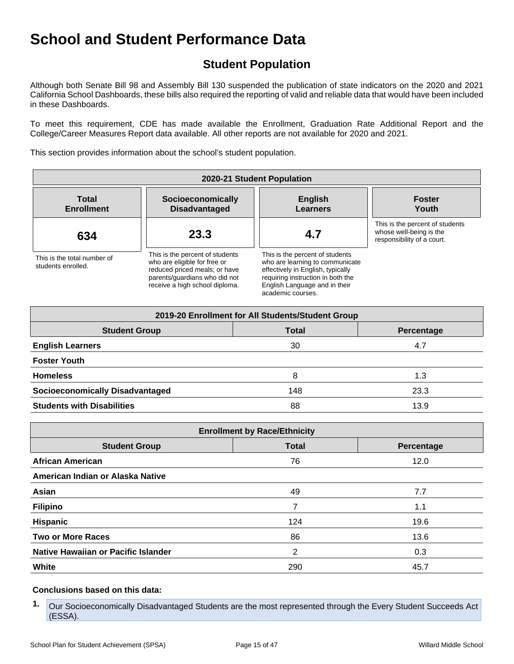# **Student Population**

Although both Senate Bill 98 and Assembly Bill 130 suspended the publication of state indicators on the 2020 and 2021 California School Dashboards, these bills also required the reporting of valid and reliable data that would have been included in these Dashboards.

To meet this requirement, CDE has made available the Enrollment, Graduation Rate Additional Report and the College/Career Measures Report data available. All other reports are not available for 2020 and 2021.

This section provides information about the school's student population.

| 2020-21 Student Population                        |                                                                                                                                                                     |                                                                                                                                                                                                    |                                                                                          |  |  |  |  |  |  |
|---------------------------------------------------|---------------------------------------------------------------------------------------------------------------------------------------------------------------------|----------------------------------------------------------------------------------------------------------------------------------------------------------------------------------------------------|------------------------------------------------------------------------------------------|--|--|--|--|--|--|
| <b>Total</b><br><b>Enrollment</b>                 | Socioeconomically<br><b>Disadvantaged</b>                                                                                                                           | <b>English</b><br><b>Learners</b>                                                                                                                                                                  | <b>Foster</b><br>Youth                                                                   |  |  |  |  |  |  |
| 634                                               | 23.3                                                                                                                                                                | 4.7                                                                                                                                                                                                | This is the percent of students<br>whose well-being is the<br>responsibility of a court. |  |  |  |  |  |  |
| This is the total number of<br>students enrolled. | This is the percent of students<br>who are eligible for free or<br>reduced priced meals; or have<br>parents/quardians who did not<br>receive a high school diploma. | This is the percent of students<br>who are learning to communicate<br>effectively in English, typically<br>requiring instruction in both the<br>English Language and in their<br>academic courses. |                                                                                          |  |  |  |  |  |  |

| 2019-20 Enrollment for All Students/Student Group |              |            |  |  |  |  |  |  |  |  |
|---------------------------------------------------|--------------|------------|--|--|--|--|--|--|--|--|
| <b>Student Group</b>                              | <b>Total</b> | Percentage |  |  |  |  |  |  |  |  |
| <b>English Learners</b>                           | 30           | 4.7        |  |  |  |  |  |  |  |  |
| <b>Foster Youth</b>                               |              |            |  |  |  |  |  |  |  |  |
| <b>Homeless</b>                                   | 8            | 1.3        |  |  |  |  |  |  |  |  |
| <b>Socioeconomically Disadvantaged</b>            | 148          | 23.3       |  |  |  |  |  |  |  |  |
| <b>Students with Disabilities</b>                 | 88           | 13.9       |  |  |  |  |  |  |  |  |

| <b>Enrollment by Race/Ethnicity</b>                |     |      |  |  |  |
|----------------------------------------------------|-----|------|--|--|--|
| <b>Student Group</b><br><b>Total</b><br>Percentage |     |      |  |  |  |
| <b>African American</b>                            | 76  | 12.0 |  |  |  |
| American Indian or Alaska Native                   |     |      |  |  |  |
| Asian                                              | 49  | 7.7  |  |  |  |
| <b>Filipino</b>                                    |     | 1.1  |  |  |  |
| <b>Hispanic</b>                                    | 124 | 19.6 |  |  |  |
| <b>Two or More Races</b>                           | 86  | 13.6 |  |  |  |
| Native Hawaiian or Pacific Islander                | 2   | 0.3  |  |  |  |
| White                                              | 290 | 45.7 |  |  |  |

**<sup>1.</sup>** Our Socioeconomically Disadvantaged Students are the most represented through the Every Student Succeeds Act (ESSA).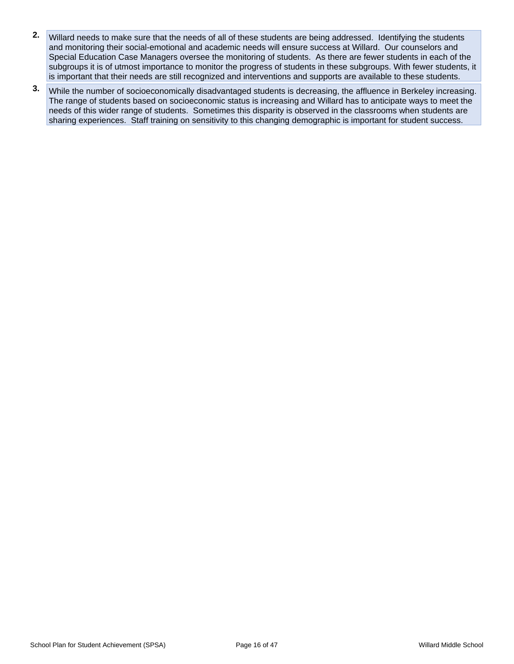- **2.** Willard needs to make sure that the needs of all of these students are being addressed. Identifying the students and monitoring their social-emotional and academic needs will ensure success at Willard. Our counselors and Special Education Case Managers oversee the monitoring of students. As there are fewer students in each of the subgroups it is of utmost importance to monitor the progress of students in these subgroups. With fewer students, it is important that their needs are still recognized and interventions and supports are available to these students.
- **3.** While the number of socioeconomically disadvantaged students is decreasing, the affluence in Berkeley increasing. The range of students based on socioeconomic status is increasing and Willard has to anticipate ways to meet the needs of this wider range of students. Sometimes this disparity is observed in the classrooms when students are sharing experiences. Staff training on sensitivity to this changing demographic is important for student success.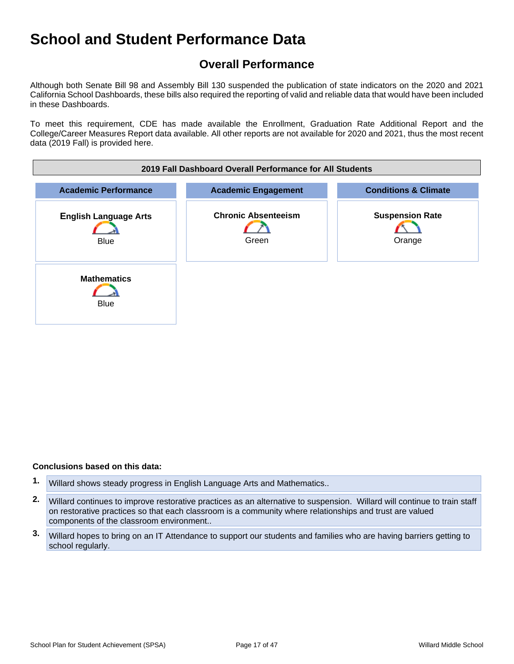# **Overall Performance**

Although both Senate Bill 98 and Assembly Bill 130 suspended the publication of state indicators on the 2020 and 2021 California School Dashboards, these bills also required the reporting of valid and reliable data that would have been included in these Dashboards.

To meet this requirement, CDE has made available the Enrollment, Graduation Rate Additional Report and the College/Career Measures Report data available. All other reports are not available for 2020 and 2021, thus the most recent data (2019 Fall) is provided here.



- **1.** Willard shows steady progress in English Language Arts and Mathematics..
- **2.** Willard continues to improve restorative practices as an alternative to suspension. Willard will continue to train staff on restorative practices so that each classroom is a community where relationships and trust are valued components of the classroom environment..
- **3.** Willard hopes to bring on an IT Attendance to support our students and families who are having barriers getting to school regularly.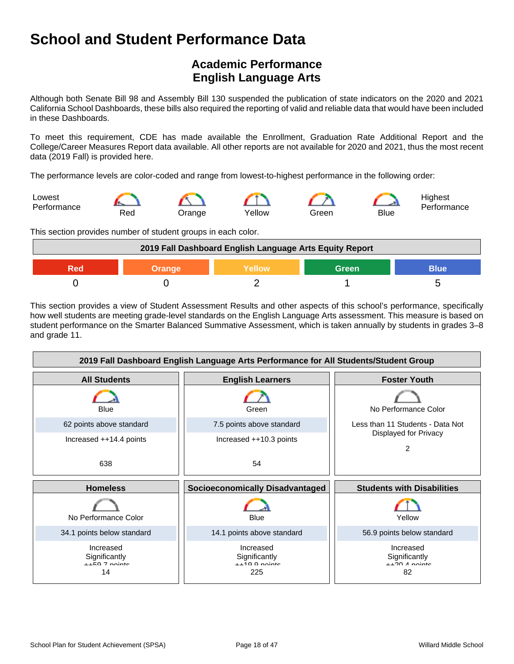# **Academic Performance English Language Arts**

Although both Senate Bill 98 and Assembly Bill 130 suspended the publication of state indicators on the 2020 and 2021 California School Dashboards, these bills also required the reporting of valid and reliable data that would have been included in these Dashboards.

To meet this requirement, CDE has made available the Enrollment, Graduation Rate Additional Report and the College/Career Measures Report data available. All other reports are not available for 2020 and 2021, thus the most recent data (2019 Fall) is provided here.

The performance levels are color-coded and range from lowest-to-highest performance in the following order:



This section provides number of student groups in each color.

| 2019 Fall Dashboard English Language Arts Equity Report |        |               |       |             |
|---------------------------------------------------------|--------|---------------|-------|-------------|
| 900                                                     | Orange | <b>Yellow</b> | Green | <b>Blue</b> |
|                                                         |        |               |       |             |

This section provides a view of Student Assessment Results and other aspects of this school's performance, specifically how well students are meeting grade-level standards on the English Language Arts assessment. This measure is based on student performance on the Smarter Balanced Summative Assessment, which is taken annually by students in grades 3–8 and grade 11.

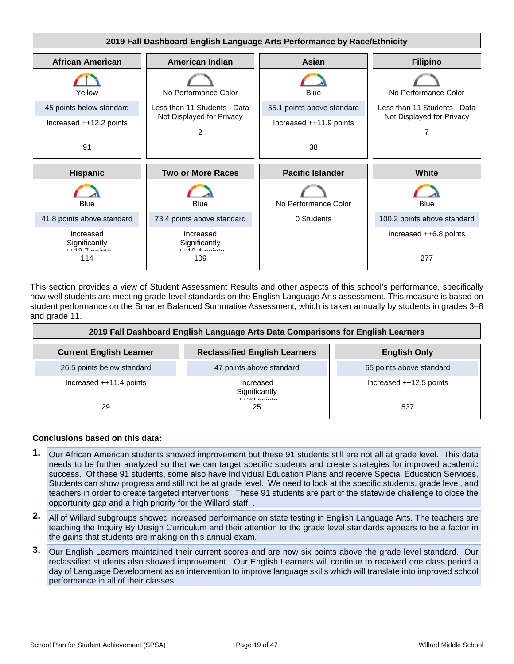

This section provides a view of Student Assessment Results and other aspects of this school's performance, specifically how well students are meeting grade-level standards on the English Language Arts assessment. This measure is based on student performance on the Smarter Balanced Summative Assessment, which is taken annually by students in grades 3–8 and grade 11.

| 2019 Fall Dashboard English Language Arts Data Comparisons for English Learners |                                             |                          |  |
|---------------------------------------------------------------------------------|---------------------------------------------|--------------------------|--|
| <b>Current English Learner</b>                                                  | <b>Reclassified English Learners</b>        | <b>English Only</b>      |  |
| 26.5 points below standard                                                      | 47 points above standard                    | 65 points above standard |  |
| Increased ++11.4 points                                                         | Increased<br>Significantly<br>$1.20$ points | Increased ++12.5 points  |  |
| 29                                                                              | 25                                          | 537                      |  |

- **1.** Our African American students showed improvement but these 91 students still are not all at grade level. This data needs to be further analyzed so that we can target specific students and create strategies for improved academic success. Of these 91 students, some also have Individual Education Plans and receive Special Education Services. Students can show progress and still not be at grade level. We need to look at the specific students, grade level, and teachers in order to create targeted interventions. These 91 students are part of the statewide challenge to close the opportunity gap and a high priority for the Willard staff. .
- **2.** All of Willard subgroups showed increased performance on state testing in English Language Arts. The teachers are teaching the Inquiry By Design Curriculum and their attention to the grade level standards appears to be a factor in the gains that students are making on this annual exam.
- **3.** Our English Learners maintained their current scores and are now six points above the grade level standard. Our reclassified students also showed improvement. Our English Learners will continue to received one class period a day of Language Development as an intervention to improve language skills which will translate into improved school performance in all of their classes.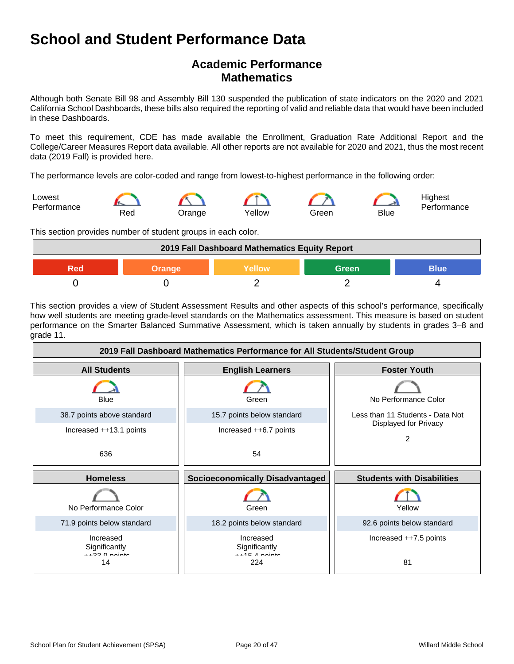# **Academic Performance Mathematics**

Although both Senate Bill 98 and Assembly Bill 130 suspended the publication of state indicators on the 2020 and 2021 California School Dashboards, these bills also required the reporting of valid and reliable data that would have been included in these Dashboards.

To meet this requirement, CDE has made available the Enrollment, Graduation Rate Additional Report and the College/Career Measures Report data available. All other reports are not available for 2020 and 2021, thus the most recent data (2019 Fall) is provided here.

The performance levels are color-coded and range from lowest-to-highest performance in the following order:



This section provides number of student groups in each color.

| 2019 Fall Dashboard Mathematics Equity Report |               |        |              |             |
|-----------------------------------------------|---------------|--------|--------------|-------------|
| Red                                           | <b>Orange</b> | Yellow | <b>Green</b> | <b>Blue</b> |
|                                               |               |        |              |             |

This section provides a view of Student Assessment Results and other aspects of this school's performance, specifically how well students are meeting grade-level standards on the Mathematics assessment. This measure is based on student performance on the Smarter Balanced Summative Assessment, which is taken annually by students in grades 3–8 and grade 11.

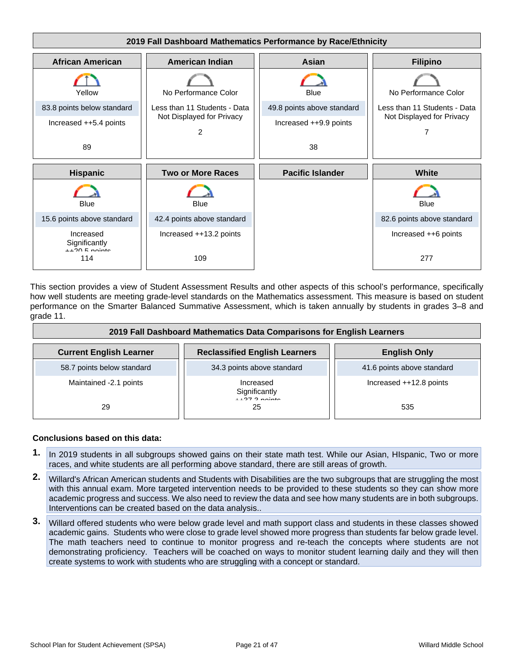

This section provides a view of Student Assessment Results and other aspects of this school's performance, specifically how well students are meeting grade-level standards on the Mathematics assessment. This measure is based on student performance on the Smarter Balanced Summative Assessment, which is taken annually by students in grades 3–8 and grade 11.

| 2019 Fall Dashboard Mathematics Data Comparisons for English Learners |                                      |                            |  |
|-----------------------------------------------------------------------|--------------------------------------|----------------------------|--|
| <b>Current English Learner</b>                                        | <b>Reclassified English Learners</b> | <b>English Only</b>        |  |
| 58.7 points below standard                                            | 34.3 points above standard           | 41.6 points above standard |  |
| Maintained -2.1 points                                                | Increased<br>Significantly           | Increased ++12.8 points    |  |
| 29                                                                    | 25                                   | 535                        |  |

- **1.** In 2019 students in all subgroups showed gains on their state math test. While our Asian, HIspanic, Two or more races, and white students are all performing above standard, there are still areas of growth.
- **2.** Willard's African American students and Students with Disabilities are the two subgroups that are struggling the most with this annual exam. More targeted intervention needs to be provided to these students so they can show more academic progress and success. We also need to review the data and see how many students are in both subgroups. Interventions can be created based on the data analysis..
- **3.** Willard offered students who were below grade level and math support class and students in these classes showed academic gains. Students who were close to grade level showed more progress than students far below grade level. The math teachers need to continue to monitor progress and re-teach the concepts where students are not demonstrating proficiency. Teachers will be coached on ways to monitor student learning daily and they will then create systems to work with students who are struggling with a concept or standard.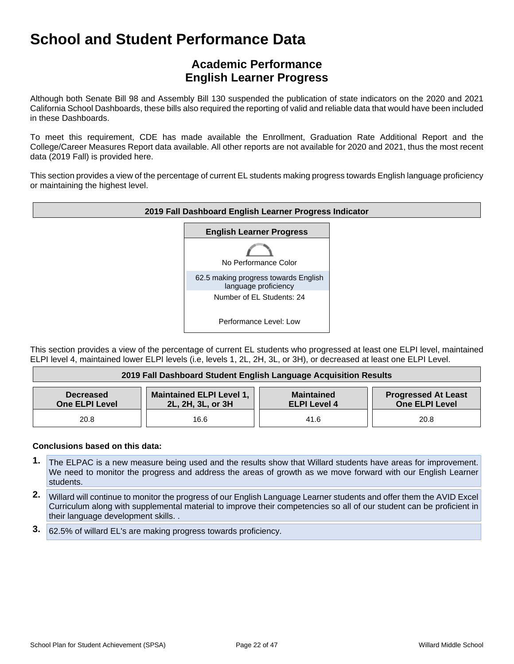# **Academic Performance English Learner Progress**

Although both Senate Bill 98 and Assembly Bill 130 suspended the publication of state indicators on the 2020 and 2021 California School Dashboards, these bills also required the reporting of valid and reliable data that would have been included in these Dashboards.

To meet this requirement, CDE has made available the Enrollment, Graduation Rate Additional Report and the College/Career Measures Report data available. All other reports are not available for 2020 and 2021, thus the most recent data (2019 Fall) is provided here.

This section provides a view of the percentage of current EL students making progress towards English language proficiency or maintaining the highest level.



This section provides a view of the percentage of current EL students who progressed at least one ELPI level, maintained ELPI level 4, maintained lower ELPI levels (i.e, levels 1, 2L, 2H, 3L, or 3H), or decreased at least one ELPI Level.

| 2019 Fall Dashboard Student English Language Acquisition Results |                                                      |                                          |                                                     |
|------------------------------------------------------------------|------------------------------------------------------|------------------------------------------|-----------------------------------------------------|
| <b>Decreased</b><br><b>One ELPI Level</b>                        | <b>Maintained ELPI Level 1,</b><br>2L, 2H, 3L, or 3H | <b>Maintained</b><br><b>ELPI Level 4</b> | <b>Progressed At Least</b><br><b>One ELPI Level</b> |
| 20.8                                                             | 16.6                                                 | 41.6                                     | 20.8                                                |

- **1.** The ELPAC is a new measure being used and the results show that Willard students have areas for improvement. We need to monitor the progress and address the areas of growth as we move forward with our English Learner students.
- **2.** Willard will continue to monitor the progress of our English Language Learner students and offer them the AVID Excel Curriculum along with supplemental material to improve their competencies so all of our student can be proficient in their language development skills. .
- **3.** 62.5% of willard EL's are making progress towards proficiency.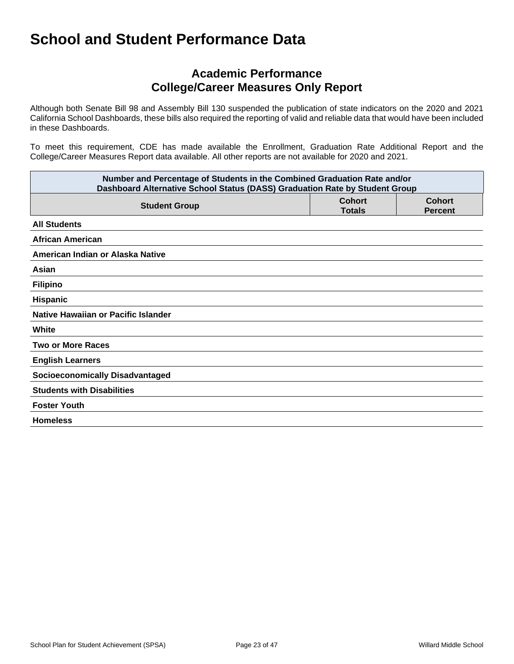## **Academic Performance College/Career Measures Only Report**

Although both Senate Bill 98 and Assembly Bill 130 suspended the publication of state indicators on the 2020 and 2021 California School Dashboards, these bills also required the reporting of valid and reliable data that would have been included in these Dashboards.

To meet this requirement, CDE has made available the Enrollment, Graduation Rate Additional Report and the College/Career Measures Report data available. All other reports are not available for 2020 and 2021.

| Number and Percentage of Students in the Combined Graduation Rate and/or<br>Dashboard Alternative School Status (DASS) Graduation Rate by Student Group |  |  |  |
|---------------------------------------------------------------------------------------------------------------------------------------------------------|--|--|--|
| <b>Cohort</b><br><b>Cohort</b><br><b>Student Group</b><br><b>Totals</b><br><b>Percent</b>                                                               |  |  |  |
| <b>All Students</b>                                                                                                                                     |  |  |  |
| <b>African American</b>                                                                                                                                 |  |  |  |
| American Indian or Alaska Native                                                                                                                        |  |  |  |
| Asian                                                                                                                                                   |  |  |  |
| <b>Filipino</b>                                                                                                                                         |  |  |  |
| Hispanic                                                                                                                                                |  |  |  |
| Native Hawaiian or Pacific Islander                                                                                                                     |  |  |  |
| White                                                                                                                                                   |  |  |  |
| <b>Two or More Races</b>                                                                                                                                |  |  |  |
| <b>English Learners</b>                                                                                                                                 |  |  |  |
| <b>Socioeconomically Disadvantaged</b>                                                                                                                  |  |  |  |
| <b>Students with Disabilities</b>                                                                                                                       |  |  |  |
| <b>Foster Youth</b>                                                                                                                                     |  |  |  |
| <b>Homeless</b>                                                                                                                                         |  |  |  |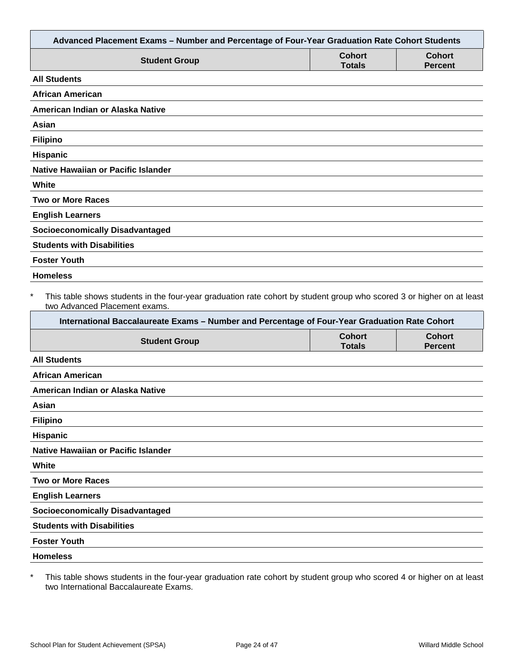| Advanced Placement Exams - Number and Percentage of Four-Year Graduation Rate Cohort Students                                                                                                                                                                     |                                |                                 |
|-------------------------------------------------------------------------------------------------------------------------------------------------------------------------------------------------------------------------------------------------------------------|--------------------------------|---------------------------------|
| <b>Student Group</b>                                                                                                                                                                                                                                              | <b>Cohort</b><br><b>Totals</b> | <b>Cohort</b><br><b>Percent</b> |
| <b>All Students</b>                                                                                                                                                                                                                                               |                                |                                 |
| <b>African American</b>                                                                                                                                                                                                                                           |                                |                                 |
| American Indian or Alaska Native                                                                                                                                                                                                                                  |                                |                                 |
| Asian                                                                                                                                                                                                                                                             |                                |                                 |
| <b>Filipino</b>                                                                                                                                                                                                                                                   |                                |                                 |
| Hispanic                                                                                                                                                                                                                                                          |                                |                                 |
| <b>Native Hawaiian or Pacific Islander</b>                                                                                                                                                                                                                        |                                |                                 |
| White                                                                                                                                                                                                                                                             |                                |                                 |
| <b>Two or More Races</b>                                                                                                                                                                                                                                          |                                |                                 |
| <b>English Learners</b>                                                                                                                                                                                                                                           |                                |                                 |
| <b>Socioeconomically Disadvantaged</b>                                                                                                                                                                                                                            |                                |                                 |
| <b>Students with Disabilities</b>                                                                                                                                                                                                                                 |                                |                                 |
| <b>Foster Youth</b>                                                                                                                                                                                                                                               |                                |                                 |
| <b>Homeless</b>                                                                                                                                                                                                                                                   |                                |                                 |
| $\ast$<br>This table shows students in the four-year graduation rate cohort by student group who scored 3 or higher on at least<br>two Advanced Placement exams.<br>International Baccalaureate Exams - Number and Percentage of Four-Year Graduation Rate Cohort |                                |                                 |
| <b>Student Group</b>                                                                                                                                                                                                                                              | <b>Cohort</b><br><b>Totals</b> | <b>Cohort</b><br><b>Percent</b> |
| <b>All Students</b>                                                                                                                                                                                                                                               |                                |                                 |
| <b>African American</b>                                                                                                                                                                                                                                           |                                |                                 |
| American Indian or Alaska Native                                                                                                                                                                                                                                  |                                |                                 |
| Asian                                                                                                                                                                                                                                                             |                                |                                 |
| <b>Filipino</b>                                                                                                                                                                                                                                                   |                                |                                 |
| Hispanic                                                                                                                                                                                                                                                          |                                |                                 |
| Native Hawaiian or Pacific Islander                                                                                                                                                                                                                               |                                |                                 |
| White                                                                                                                                                                                                                                                             |                                |                                 |
| <b>Two or More Races</b>                                                                                                                                                                                                                                          |                                |                                 |
| <b>English Learners</b>                                                                                                                                                                                                                                           |                                |                                 |
| <b>Socioeconomically Disadvantaged</b>                                                                                                                                                                                                                            |                                |                                 |
| <b>Students with Disabilities</b>                                                                                                                                                                                                                                 |                                |                                 |
| <b>Foster Youth</b>                                                                                                                                                                                                                                               |                                |                                 |
| <b>Homeless</b>                                                                                                                                                                                                                                                   |                                |                                 |
|                                                                                                                                                                                                                                                                   |                                |                                 |

\* This table shows students in the four-year graduation rate cohort by student group who scored 4 or higher on at least two International Baccalaureate Exams.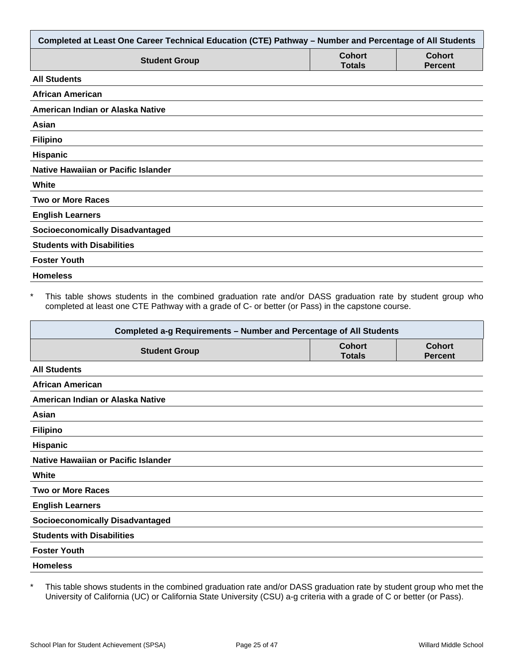| Completed at Least One Career Technical Education (CTE) Pathway - Number and Percentage of All Students |                                |                                 |
|---------------------------------------------------------------------------------------------------------|--------------------------------|---------------------------------|
| <b>Student Group</b>                                                                                    | <b>Cohort</b><br><b>Totals</b> | <b>Cohort</b><br><b>Percent</b> |
| <b>All Students</b>                                                                                     |                                |                                 |
| <b>African American</b>                                                                                 |                                |                                 |
| American Indian or Alaska Native                                                                        |                                |                                 |
| Asian                                                                                                   |                                |                                 |
| <b>Filipino</b>                                                                                         |                                |                                 |
| Hispanic                                                                                                |                                |                                 |
| Native Hawaiian or Pacific Islander                                                                     |                                |                                 |
| White                                                                                                   |                                |                                 |
| <b>Two or More Races</b>                                                                                |                                |                                 |
| <b>English Learners</b>                                                                                 |                                |                                 |
| <b>Socioeconomically Disadvantaged</b>                                                                  |                                |                                 |
| <b>Students with Disabilities</b>                                                                       |                                |                                 |
| <b>Foster Youth</b>                                                                                     |                                |                                 |
| <b>Homeless</b>                                                                                         |                                |                                 |

This table shows students in the combined graduation rate and/or DASS graduation rate by student group who completed at least one CTE Pathway with a grade of C- or better (or Pass) in the capstone course.

| Completed a-g Requirements - Number and Percentage of All Students |                                |                                 |  |
|--------------------------------------------------------------------|--------------------------------|---------------------------------|--|
| <b>Student Group</b>                                               | <b>Cohort</b><br><b>Totals</b> | <b>Cohort</b><br><b>Percent</b> |  |
| <b>All Students</b>                                                |                                |                                 |  |
| <b>African American</b>                                            |                                |                                 |  |
| American Indian or Alaska Native                                   |                                |                                 |  |
| Asian                                                              |                                |                                 |  |
| <b>Filipino</b>                                                    |                                |                                 |  |
| <b>Hispanic</b>                                                    |                                |                                 |  |
| Native Hawaiian or Pacific Islander                                |                                |                                 |  |
| White                                                              |                                |                                 |  |
| <b>Two or More Races</b>                                           |                                |                                 |  |
| <b>English Learners</b>                                            |                                |                                 |  |
| <b>Socioeconomically Disadvantaged</b>                             |                                |                                 |  |
| <b>Students with Disabilities</b>                                  |                                |                                 |  |
| <b>Foster Youth</b>                                                |                                |                                 |  |
| <b>Homeless</b>                                                    |                                |                                 |  |

\* This table shows students in the combined graduation rate and/or DASS graduation rate by student group who met the University of California (UC) or California State University (CSU) a-g criteria with a grade of C or better (or Pass).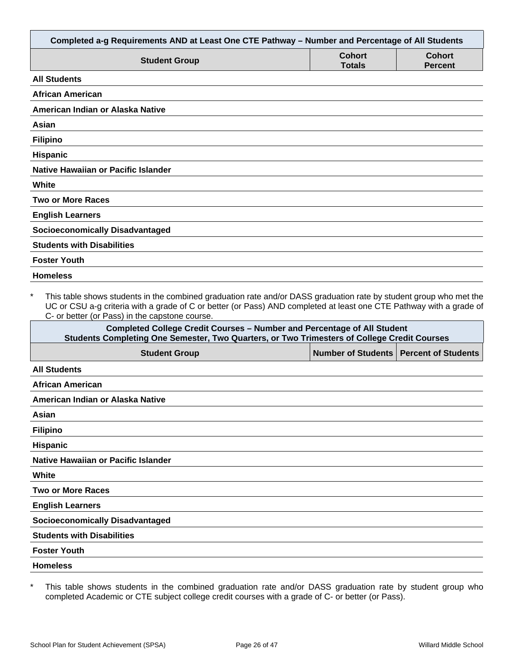| Completed a-g Requirements AND at Least One CTE Pathway - Number and Percentage of All Students                                                                                                                                                                                                                                                                                          |                                |                                 |
|------------------------------------------------------------------------------------------------------------------------------------------------------------------------------------------------------------------------------------------------------------------------------------------------------------------------------------------------------------------------------------------|--------------------------------|---------------------------------|
| <b>Student Group</b>                                                                                                                                                                                                                                                                                                                                                                     | <b>Cohort</b><br><b>Totals</b> | <b>Cohort</b><br><b>Percent</b> |
| <b>All Students</b>                                                                                                                                                                                                                                                                                                                                                                      |                                |                                 |
| <b>African American</b>                                                                                                                                                                                                                                                                                                                                                                  |                                |                                 |
| American Indian or Alaska Native                                                                                                                                                                                                                                                                                                                                                         |                                |                                 |
| Asian                                                                                                                                                                                                                                                                                                                                                                                    |                                |                                 |
| <b>Filipino</b>                                                                                                                                                                                                                                                                                                                                                                          |                                |                                 |
| Hispanic                                                                                                                                                                                                                                                                                                                                                                                 |                                |                                 |
| Native Hawaiian or Pacific Islander                                                                                                                                                                                                                                                                                                                                                      |                                |                                 |
| <b>White</b>                                                                                                                                                                                                                                                                                                                                                                             |                                |                                 |
| <b>Two or More Races</b>                                                                                                                                                                                                                                                                                                                                                                 |                                |                                 |
| <b>English Learners</b>                                                                                                                                                                                                                                                                                                                                                                  |                                |                                 |
| <b>Socioeconomically Disadvantaged</b>                                                                                                                                                                                                                                                                                                                                                   |                                |                                 |
| <b>Students with Disabilities</b>                                                                                                                                                                                                                                                                                                                                                        |                                |                                 |
| <b>Foster Youth</b>                                                                                                                                                                                                                                                                                                                                                                      |                                |                                 |
| <b>Homeless</b>                                                                                                                                                                                                                                                                                                                                                                          |                                |                                 |
| $\star$<br>This table shows students in the combined graduation rate and/or DASS graduation rate by student group who met the<br>UC or CSU a-g criteria with a grade of C or better (or Pass) AND completed at least one CTE Pathway with a grade of<br>C- or better (or Pass) in the capstone course.<br><b>Completed College Credit Courses - Number and Percentage of All Student</b> |                                |                                 |
| Students Completing One Semester, Two Quarters, or Two Trimesters of College Credit Courses                                                                                                                                                                                                                                                                                              |                                |                                 |
| <b>Student Group</b>                                                                                                                                                                                                                                                                                                                                                                     | <b>Number of Students</b>      | <b>Percent of Students</b>      |
| <b>All Students</b>                                                                                                                                                                                                                                                                                                                                                                      |                                |                                 |
| <b>African American</b>                                                                                                                                                                                                                                                                                                                                                                  |                                |                                 |
| American Indian or Alaska Native                                                                                                                                                                                                                                                                                                                                                         |                                |                                 |
| Asian                                                                                                                                                                                                                                                                                                                                                                                    |                                |                                 |

|  | Filipino |  |
|--|----------|--|
|  |          |  |

**Hispanic**

**Native Hawaiian or Pacific Islander**

**White**

**Two or More Races**

**English Learners**

**Socioeconomically Disadvantaged**

**Students with Disabilities**

**Foster Youth**

**Homeless**

\* This table shows students in the combined graduation rate and/or DASS graduation rate by student group who completed Academic or CTE subject college credit courses with a grade of C- or better (or Pass).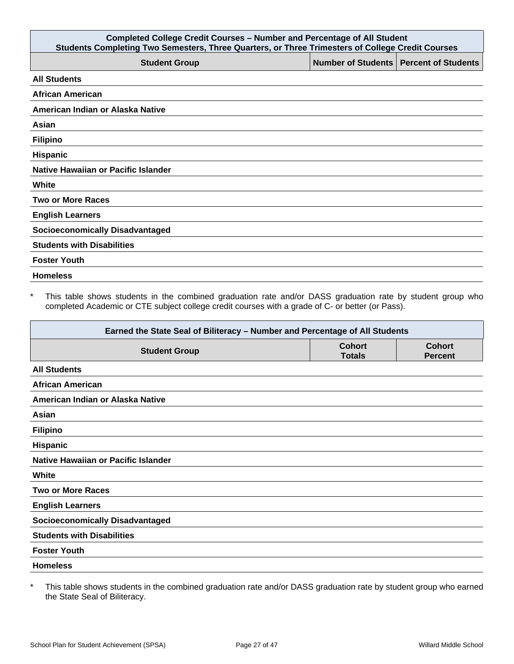| <b>Completed College Credit Courses - Number and Percentage of All Student</b><br>Students Completing Two Semesters, Three Quarters, or Three Trimesters of College Credit Courses |  |                                          |
|------------------------------------------------------------------------------------------------------------------------------------------------------------------------------------|--|------------------------------------------|
| <b>Student Group</b>                                                                                                                                                               |  | Number of Students   Percent of Students |
| <b>All Students</b>                                                                                                                                                                |  |                                          |
| <b>African American</b>                                                                                                                                                            |  |                                          |
| American Indian or Alaska Native                                                                                                                                                   |  |                                          |
| Asian                                                                                                                                                                              |  |                                          |
| <b>Filipino</b>                                                                                                                                                                    |  |                                          |
| <b>Hispanic</b>                                                                                                                                                                    |  |                                          |
| Native Hawaiian or Pacific Islander                                                                                                                                                |  |                                          |
| White                                                                                                                                                                              |  |                                          |
| <b>Two or More Races</b>                                                                                                                                                           |  |                                          |
| <b>English Learners</b>                                                                                                                                                            |  |                                          |
| <b>Socioeconomically Disadvantaged</b>                                                                                                                                             |  |                                          |
| <b>Students with Disabilities</b>                                                                                                                                                  |  |                                          |
| <b>Foster Youth</b>                                                                                                                                                                |  |                                          |
| <b>Homeless</b>                                                                                                                                                                    |  |                                          |

\* This table shows students in the combined graduation rate and/or DASS graduation rate by student group who completed Academic or CTE subject college credit courses with a grade of C- or better (or Pass).

| Earned the State Seal of Biliteracy - Number and Percentage of All Students |                                |                                 |
|-----------------------------------------------------------------------------|--------------------------------|---------------------------------|
| <b>Student Group</b>                                                        | <b>Cohort</b><br><b>Totals</b> | <b>Cohort</b><br><b>Percent</b> |
| <b>All Students</b>                                                         |                                |                                 |
| <b>African American</b>                                                     |                                |                                 |
| American Indian or Alaska Native                                            |                                |                                 |
| Asian                                                                       |                                |                                 |
| <b>Filipino</b>                                                             |                                |                                 |
| <b>Hispanic</b>                                                             |                                |                                 |
| Native Hawaiian or Pacific Islander                                         |                                |                                 |
| White                                                                       |                                |                                 |
| <b>Two or More Races</b>                                                    |                                |                                 |
| <b>English Learners</b>                                                     |                                |                                 |
| <b>Socioeconomically Disadvantaged</b>                                      |                                |                                 |
| <b>Students with Disabilities</b>                                           |                                |                                 |
| <b>Foster Youth</b>                                                         |                                |                                 |
| <b>Homeless</b>                                                             |                                |                                 |

\* This table shows students in the combined graduation rate and/or DASS graduation rate by student group who earned the State Seal of Biliteracy.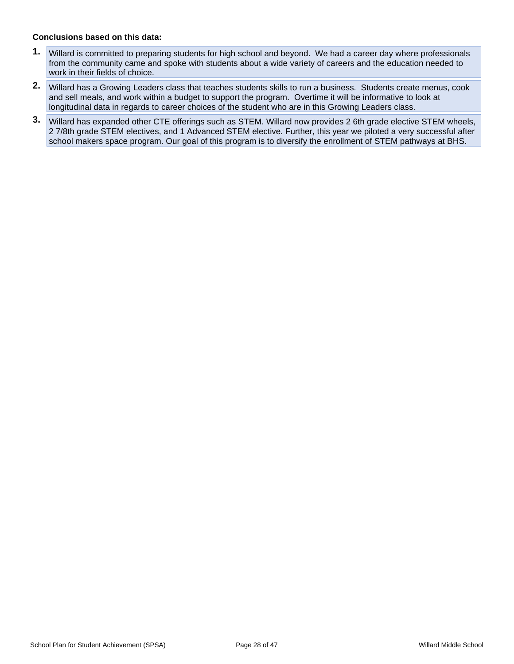- **1.** Willard is committed to preparing students for high school and beyond. We had a career day where professionals from the community came and spoke with students about a wide variety of careers and the education needed to work in their fields of choice.
- **2.** Willard has a Growing Leaders class that teaches students skills to run a business. Students create menus, cook and sell meals, and work within a budget to support the program. Overtime it will be informative to look at longitudinal data in regards to career choices of the student who are in this Growing Leaders class.
- **3.** Willard has expanded other CTE offerings such as STEM. Willard now provides 2 6th grade elective STEM wheels, 2 7/8th grade STEM electives, and 1 Advanced STEM elective. Further, this year we piloted a very successful after school makers space program. Our goal of this program is to diversify the enrollment of STEM pathways at BHS.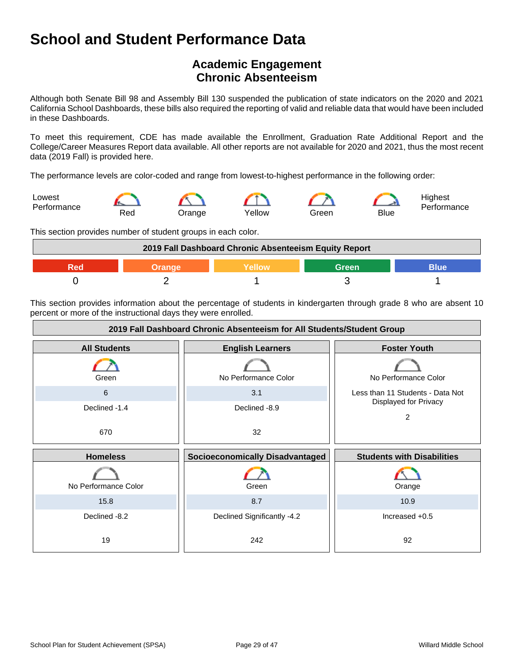# **Academic Engagement Chronic Absenteeism**

Although both Senate Bill 98 and Assembly Bill 130 suspended the publication of state indicators on the 2020 and 2021 California School Dashboards, these bills also required the reporting of valid and reliable data that would have been included in these Dashboards.

To meet this requirement, CDE has made available the Enrollment, Graduation Rate Additional Report and the College/Career Measures Report data available. All other reports are not available for 2020 and 2021, thus the most recent data (2019 Fall) is provided here.

The performance levels are color-coded and range from lowest-to-highest performance in the following order:



This section provides number of student groups in each color.



This section provides information about the percentage of students in kindergarten through grade 8 who are absent 10 percent or more of the instructional days they were enrolled.

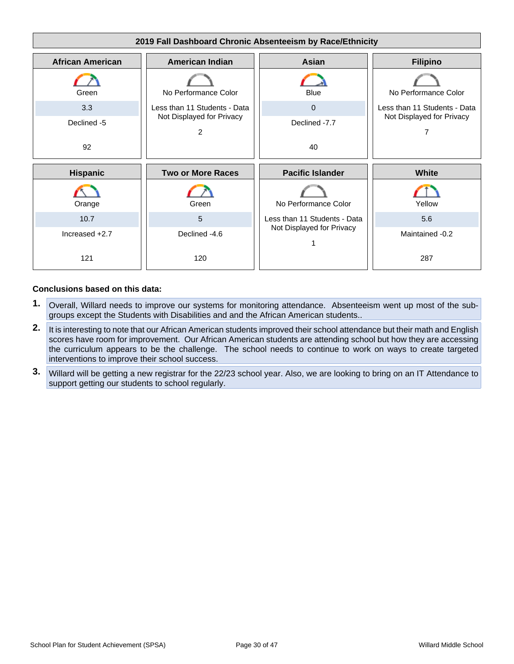

- **1.** Overall, Willard needs to improve our systems for monitoring attendance. Absenteeism went up most of the subgroups except the Students with Disabilities and and the African American students..
- **2.** It is interesting to note that our African American students improved their school attendance but their math and English scores have room for improvement. Our African American students are attending school but how they are accessing the curriculum appears to be the challenge. The school needs to continue to work on ways to create targeted interventions to improve their school success.
- **3.** Willard will be getting a new registrar for the 22/23 school year. Also, we are looking to bring on an IT Attendance to support getting our students to school regularly.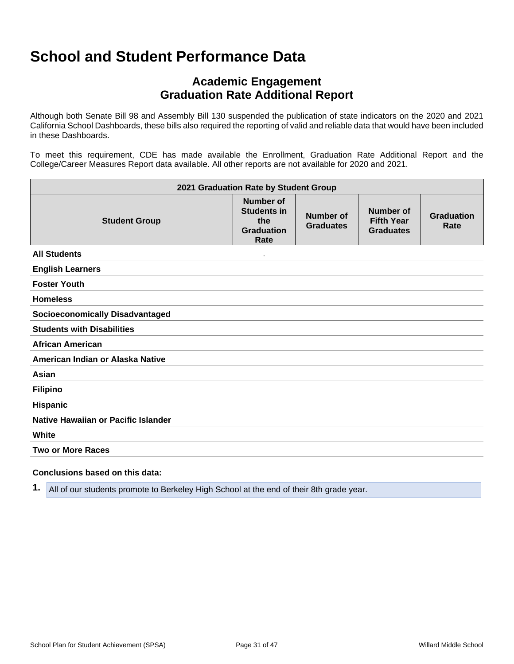# **Academic Engagement Graduation Rate Additional Report**

Although both Senate Bill 98 and Assembly Bill 130 suspended the publication of state indicators on the 2020 and 2021 California School Dashboards, these bills also required the reporting of valid and reliable data that would have been included in these Dashboards.

To meet this requirement, CDE has made available the Enrollment, Graduation Rate Additional Report and the College/Career Measures Report data available. All other reports are not available for 2020 and 2021.

| 2021 Graduation Rate by Student Group  |                                                                            |                               |                                                    |                           |
|----------------------------------------|----------------------------------------------------------------------------|-------------------------------|----------------------------------------------------|---------------------------|
| <b>Student Group</b>                   | <b>Number of</b><br><b>Students in</b><br>the<br><b>Graduation</b><br>Rate | Number of<br><b>Graduates</b> | Number of<br><b>Fifth Year</b><br><b>Graduates</b> | <b>Graduation</b><br>Rate |
| <b>All Students</b>                    |                                                                            |                               |                                                    |                           |
| <b>English Learners</b>                |                                                                            |                               |                                                    |                           |
| <b>Foster Youth</b>                    |                                                                            |                               |                                                    |                           |
| <b>Homeless</b>                        |                                                                            |                               |                                                    |                           |
| <b>Socioeconomically Disadvantaged</b> |                                                                            |                               |                                                    |                           |
| <b>Students with Disabilities</b>      |                                                                            |                               |                                                    |                           |
| <b>African American</b>                |                                                                            |                               |                                                    |                           |
| American Indian or Alaska Native       |                                                                            |                               |                                                    |                           |
| Asian                                  |                                                                            |                               |                                                    |                           |
| <b>Filipino</b>                        |                                                                            |                               |                                                    |                           |
| Hispanic                               |                                                                            |                               |                                                    |                           |
| Native Hawaiian or Pacific Islander    |                                                                            |                               |                                                    |                           |
| White                                  |                                                                            |                               |                                                    |                           |
| <b>Two or More Races</b>               |                                                                            |                               |                                                    |                           |
|                                        |                                                                            |                               |                                                    |                           |

#### **Conclusions based on this data:**

**1.** All of our students promote to Berkeley High School at the end of their 8th grade year.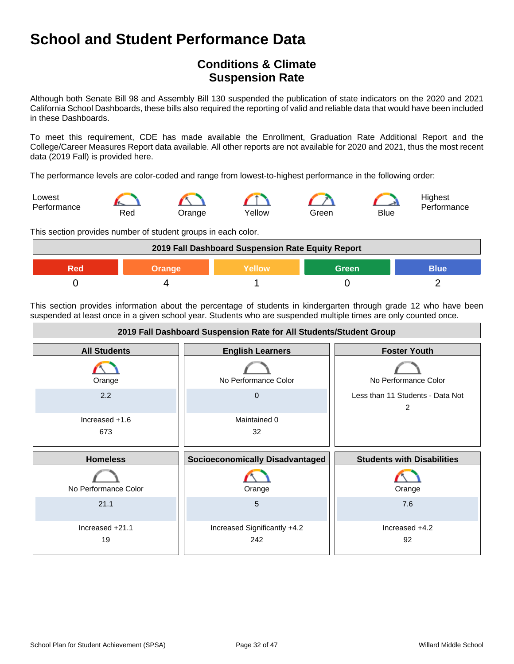# **Conditions & Climate Suspension Rate**

Although both Senate Bill 98 and Assembly Bill 130 suspended the publication of state indicators on the 2020 and 2021 California School Dashboards, these bills also required the reporting of valid and reliable data that would have been included in these Dashboards.

To meet this requirement, CDE has made available the Enrollment, Graduation Rate Additional Report and the College/Career Measures Report data available. All other reports are not available for 2020 and 2021, thus the most recent data (2019 Fall) is provided here.

The performance levels are color-coded and range from lowest-to-highest performance in the following order:



This section provides number of student groups in each color.



This section provides information about the percentage of students in kindergarten through grade 12 who have been suspended at least once in a given school year. Students who are suspended multiple times are only counted once.

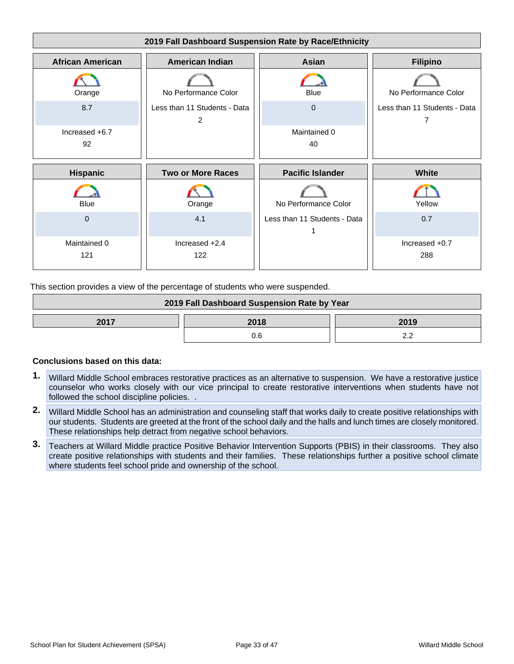

This section provides a view of the percentage of students who were suspended.

| 2019 Fall Dashboard Suspension Rate by Year |  |  |
|---------------------------------------------|--|--|
| 2017<br>2018<br>2019                        |  |  |
|                                             |  |  |

- **1.** Willard Middle School embraces restorative practices as an alternative to suspension. We have a restorative justice counselor who works closely with our vice principal to create restorative interventions when students have not followed the school discipline policies. .
- **2.** Willard Middle School has an administration and counseling staff that works daily to create positive relationships with our students. Students are greeted at the front of the school daily and the halls and lunch times are closely monitored. These relationships help detract from negative school behaviors.
- **3.** Teachers at Willard Middle practice Positive Behavior Intervention Supports (PBIS) in their classrooms. They also create positive relationships with students and their families. These relationships further a positive school climate where students feel school pride and ownership of the school.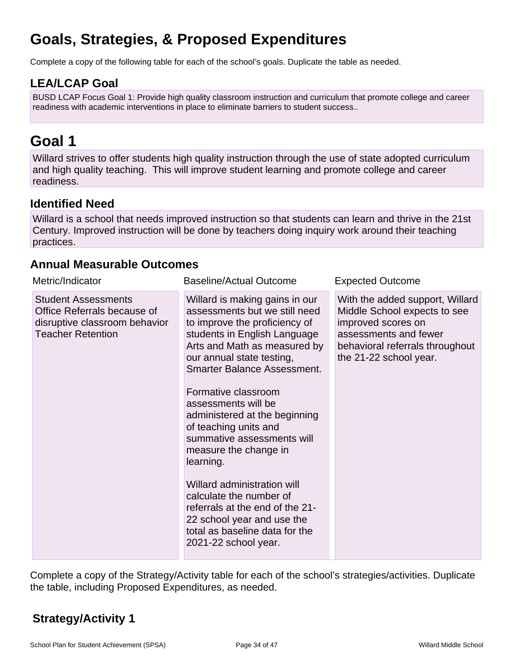# **Goals, Strategies, & Proposed Expenditures**

Complete a copy of the following table for each of the school's goals. Duplicate the table as needed.

# **LEA/LCAP Goal**

BUSD LCAP Focus Goal 1: Provide high quality classroom instruction and curriculum that promote college and career readiness with academic interventions in place to eliminate barriers to student success..

# **Goal 1**

Willard strives to offer students high quality instruction through the use of state adopted curriculum and high quality teaching. This will improve student learning and promote college and career readiness.

# **Identified Need**

Willard is a school that needs improved instruction so that students can learn and thrive in the 21st Century. Improved instruction will be done by teachers doing inquiry work around their teaching practices.

### **Annual Measurable Outcomes**

| Metric/Indicator                                                                                                       | <b>Baseline/Actual Outcome</b>                                                                                                                                                                                                                                                                                                                                                                                                                                                                                                                                                                       | <b>Expected Outcome</b>                                                                                                                                                     |
|------------------------------------------------------------------------------------------------------------------------|------------------------------------------------------------------------------------------------------------------------------------------------------------------------------------------------------------------------------------------------------------------------------------------------------------------------------------------------------------------------------------------------------------------------------------------------------------------------------------------------------------------------------------------------------------------------------------------------------|-----------------------------------------------------------------------------------------------------------------------------------------------------------------------------|
| <b>Student Assessments</b><br>Office Referrals because of<br>disruptive classroom behavior<br><b>Teacher Retention</b> | Willard is making gains in our<br>assessments but we still need<br>to improve the proficiency of<br>students in English Language<br>Arts and Math as measured by<br>our annual state testing,<br><b>Smarter Balance Assessment.</b><br>Formative classroom<br>assessments will be<br>administered at the beginning<br>of teaching units and<br>summative assessments will<br>measure the change in<br>learning.<br>Willard administration will<br>calculate the number of<br>referrals at the end of the 21-<br>22 school year and use the<br>total as baseline data for the<br>2021-22 school year. | With the added support, Willard<br>Middle School expects to see<br>improved scores on<br>assessments and fewer<br>behavioral referrals throughout<br>the 21-22 school year. |

Complete a copy of the Strategy/Activity table for each of the school's strategies/activities. Duplicate the table, including Proposed Expenditures, as needed.

# **Strategy/Activity 1**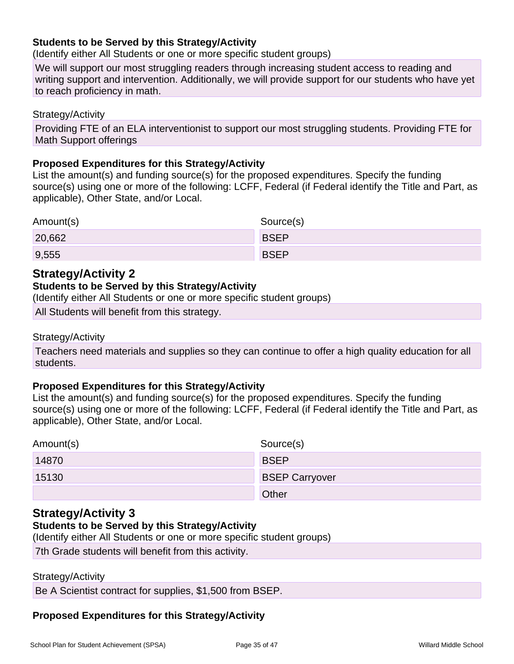### **Students to be Served by this Strategy/Activity**

(Identify either All Students or one or more specific student groups)

We will support our most struggling readers through increasing student access to reading and writing support and intervention. Additionally, we will provide support for our students who have yet to reach proficiency in math.

Strategy/Activity

Providing FTE of an ELA interventionist to support our most struggling students. Providing FTE for Math Support offerings

#### **Proposed Expenditures for this Strategy/Activity**

List the amount(s) and funding source(s) for the proposed expenditures. Specify the funding source(s) using one or more of the following: LCFF, Federal (if Federal identify the Title and Part, as applicable), Other State, and/or Local.

| Amount(s) | Source(s)   |
|-----------|-------------|
| 20,662    | <b>BSEP</b> |
| 9,555     | <b>BSEP</b> |

### **Strategy/Activity 2**

#### **Students to be Served by this Strategy/Activity**

(Identify either All Students or one or more specific student groups)

All Students will benefit from this strategy.

#### Strategy/Activity

Teachers need materials and supplies so they can continue to offer a high quality education for all students.

#### **Proposed Expenditures for this Strategy/Activity**

List the amount(s) and funding source(s) for the proposed expenditures. Specify the funding source(s) using one or more of the following: LCFF, Federal (if Federal identify the Title and Part, as applicable), Other State, and/or Local.

| Amount(s) | Source(s)             |
|-----------|-----------------------|
| 14870     | <b>BSEP</b>           |
| 15130     | <b>BSEP Carryover</b> |
|           | Other                 |

### **Strategy/Activity 3**

#### **Students to be Served by this Strategy/Activity**

(Identify either All Students or one or more specific student groups)

7th Grade students will benefit from this activity.

#### Strategy/Activity

Be A Scientist contract for supplies, \$1,500 from BSEP.

### **Proposed Expenditures for this Strategy/Activity**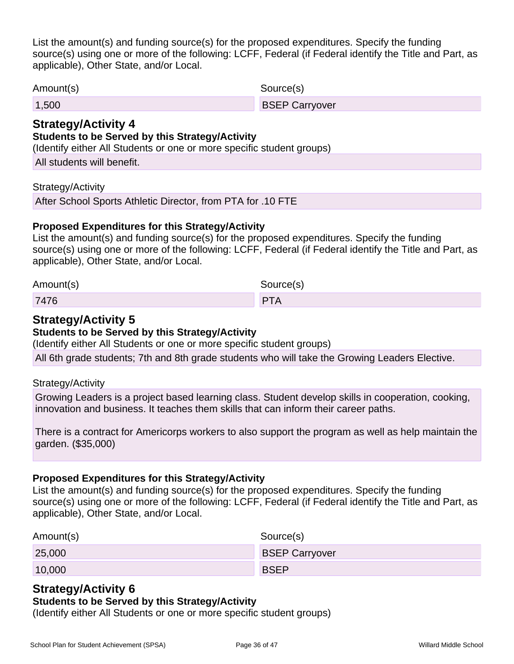List the amount(s) and funding source(s) for the proposed expenditures. Specify the funding source(s) using one or more of the following: LCFF, Federal (if Federal identify the Title and Part, as applicable), Other State, and/or Local.

Amount(s) Source(s)

1,500 BSEP Carryover

### **Strategy/Activity 4**

### **Students to be Served by this Strategy/Activity**

(Identify either All Students or one or more specific student groups)

All students will benefit.

#### Strategy/Activity

After School Sports Athletic Director, from PTA for .10 FTE

### **Proposed Expenditures for this Strategy/Activity**

List the amount(s) and funding source(s) for the proposed expenditures. Specify the funding source(s) using one or more of the following: LCFF, Federal (if Federal identify the Title and Part, as applicable), Other State, and/or Local.

| Amount(s) | Source(s)  |
|-----------|------------|
| 7476      | <b>PTA</b> |

### **Strategy/Activity 5**

#### **Students to be Served by this Strategy/Activity**

(Identify either All Students or one or more specific student groups)

All 6th grade students; 7th and 8th grade students who will take the Growing Leaders Elective.

#### Strategy/Activity

Growing Leaders is a project based learning class. Student develop skills in cooperation, cooking, innovation and business. It teaches them skills that can inform their career paths.

There is a contract for Americorps workers to also support the program as well as help maintain the garden. (\$35,000)

#### **Proposed Expenditures for this Strategy/Activity**

List the amount(s) and funding source(s) for the proposed expenditures. Specify the funding source(s) using one or more of the following: LCFF, Federal (if Federal identify the Title and Part, as applicable), Other State, and/or Local.

| Amount(s) | Source(s)             |
|-----------|-----------------------|
| 25,000    | <b>BSEP Carryover</b> |
| 10,000    | <b>BSEP</b>           |

### **Strategy/Activity 6**

#### **Students to be Served by this Strategy/Activity**

(Identify either All Students or one or more specific student groups)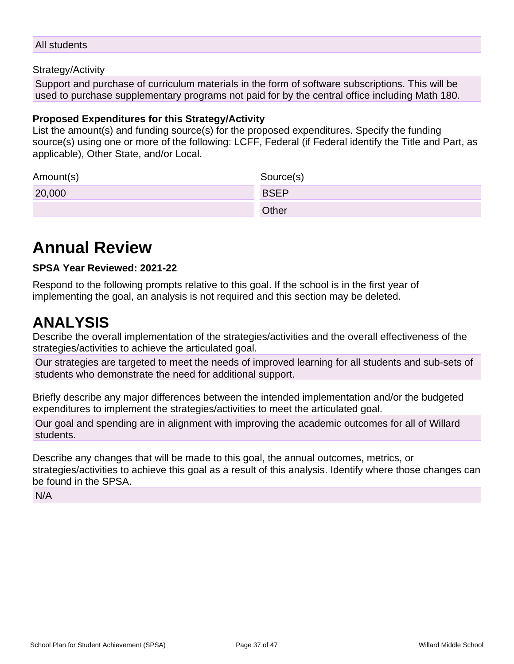#### All students

#### Strategy/Activity

Support and purchase of curriculum materials in the form of software subscriptions. This will be used to purchase supplementary programs not paid for by the central office including Math 180.

#### **Proposed Expenditures for this Strategy/Activity**

List the amount(s) and funding source(s) for the proposed expenditures. Specify the funding source(s) using one or more of the following: LCFF, Federal (if Federal identify the Title and Part, as applicable), Other State, and/or Local.

| Amount(s) | Source(s)    |
|-----------|--------------|
| 20,000    | <b>BSEP</b>  |
|           | <b>Other</b> |

# **Annual Review**

#### **SPSA Year Reviewed: 2021-22**

Respond to the following prompts relative to this goal. If the school is in the first year of implementing the goal, an analysis is not required and this section may be deleted.

# **ANALYSIS**

Describe the overall implementation of the strategies/activities and the overall effectiveness of the strategies/activities to achieve the articulated goal.

Our strategies are targeted to meet the needs of improved learning for all students and sub-sets of students who demonstrate the need for additional support.

Briefly describe any major differences between the intended implementation and/or the budgeted expenditures to implement the strategies/activities to meet the articulated goal.

Our goal and spending are in alignment with improving the academic outcomes for all of Willard students.

Describe any changes that will be made to this goal, the annual outcomes, metrics, or strategies/activities to achieve this goal as a result of this analysis. Identify where those changes can be found in the SPSA.

N/A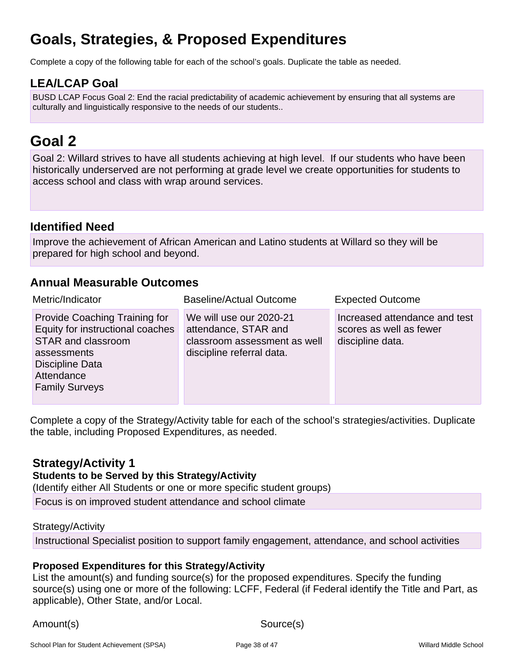# **Goals, Strategies, & Proposed Expenditures**

Complete a copy of the following table for each of the school's goals. Duplicate the table as needed.

## **LEA/LCAP Goal**

BUSD LCAP Focus Goal 2: End the racial predictability of academic achievement by ensuring that all systems are culturally and linguistically responsive to the needs of our students..

# **Goal 2**

Goal 2: Willard strives to have all students achieving at high level. If our students who have been historically underserved are not performing at grade level we create opportunities for students to access school and class with wrap around services.

### **Identified Need**

Improve the achievement of African American and Latino students at Willard so they will be prepared for high school and beyond.

### **Annual Measurable Outcomes**

| Metric/Indicator                                                                                                                                                        | <b>Baseline/Actual Outcome</b>                                                                               | <b>Expected Outcome</b>                                                      |
|-------------------------------------------------------------------------------------------------------------------------------------------------------------------------|--------------------------------------------------------------------------------------------------------------|------------------------------------------------------------------------------|
| <b>Provide Coaching Training for</b><br>Equity for instructional coaches<br>STAR and classroom<br>assessments<br>Discipline Data<br>Attendance<br><b>Family Surveys</b> | We will use our 2020-21<br>attendance, STAR and<br>classroom assessment as well<br>discipline referral data. | Increased attendance and test<br>scores as well as fewer<br>discipline data. |

Complete a copy of the Strategy/Activity table for each of the school's strategies/activities. Duplicate the table, including Proposed Expenditures, as needed.

### **Strategy/Activity 1**

### **Students to be Served by this Strategy/Activity**

(Identify either All Students or one or more specific student groups)

Focus is on improved student attendance and school climate

#### Strategy/Activity

Instructional Specialist position to support family engagement, attendance, and school activities

### **Proposed Expenditures for this Strategy/Activity**

List the amount(s) and funding source(s) for the proposed expenditures. Specify the funding source(s) using one or more of the following: LCFF, Federal (if Federal identify the Title and Part, as applicable), Other State, and/or Local.

Amount(s) Source(s)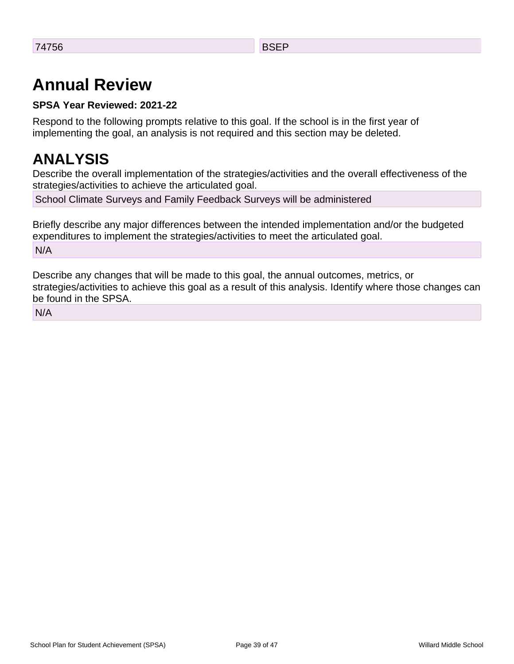# **Annual Review**

### **SPSA Year Reviewed: 2021-22**

Respond to the following prompts relative to this goal. If the school is in the first year of implementing the goal, an analysis is not required and this section may be deleted.

# **ANALYSIS**

Describe the overall implementation of the strategies/activities and the overall effectiveness of the strategies/activities to achieve the articulated goal.

School Climate Surveys and Family Feedback Surveys will be administered

Briefly describe any major differences between the intended implementation and/or the budgeted expenditures to implement the strategies/activities to meet the articulated goal. N/A

Describe any changes that will be made to this goal, the annual outcomes, metrics, or strategies/activities to achieve this goal as a result of this analysis. Identify where those changes can be found in the SPSA.

N/A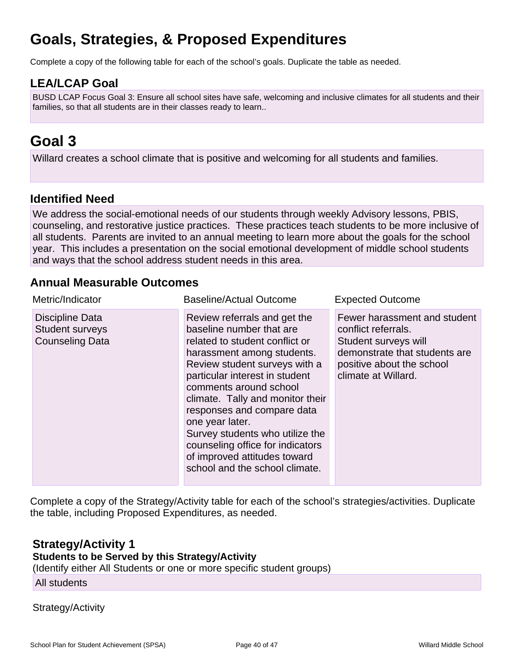# **Goals, Strategies, & Proposed Expenditures**

Complete a copy of the following table for each of the school's goals. Duplicate the table as needed.

# **LEA/LCAP Goal**

BUSD LCAP Focus Goal 3: Ensure all school sites have safe, welcoming and inclusive climates for all students and their families, so that all students are in their classes ready to learn..

# **Goal 3**

Willard creates a school climate that is positive and welcoming for all students and families.

### **Identified Need**

We address the social-emotional needs of our students through weekly Advisory lessons, PBIS, counseling, and restorative justice practices. These practices teach students to be more inclusive of all students. Parents are invited to an annual meeting to learn more about the goals for the school year. This includes a presentation on the social emotional development of middle school students and ways that the school address student needs in this area.

### **Annual Measurable Outcomes**

| Metric/Indicator                                                    | <b>Baseline/Actual Outcome</b>                                                                                                                                                                                                                                                                                                                                                                                                                      | <b>Expected Outcome</b>                                                                                                                                          |
|---------------------------------------------------------------------|-----------------------------------------------------------------------------------------------------------------------------------------------------------------------------------------------------------------------------------------------------------------------------------------------------------------------------------------------------------------------------------------------------------------------------------------------------|------------------------------------------------------------------------------------------------------------------------------------------------------------------|
| Discipline Data<br><b>Student surveys</b><br><b>Counseling Data</b> | Review referrals and get the<br>baseline number that are<br>related to student conflict or<br>harassment among students.<br>Review student surveys with a<br>particular interest in student<br>comments around school<br>climate. Tally and monitor their<br>responses and compare data<br>one year later.<br>Survey students who utilize the<br>counseling office for indicators<br>of improved attitudes toward<br>school and the school climate. | Fewer harassment and student<br>conflict referrals.<br>Student surveys will<br>demonstrate that students are<br>positive about the school<br>climate at Willard. |

Complete a copy of the Strategy/Activity table for each of the school's strategies/activities. Duplicate the table, including Proposed Expenditures, as needed.

### **Strategy/Activity 1**

### **Students to be Served by this Strategy/Activity**

(Identify either All Students or one or more specific student groups)

#### All students

### Strategy/Activity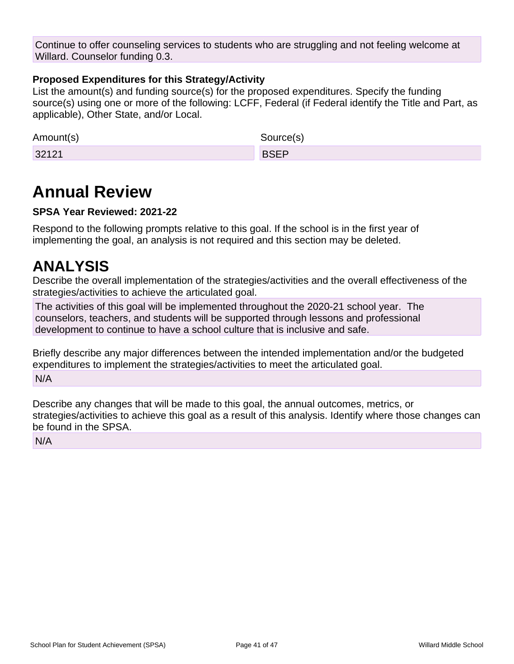Continue to offer counseling services to students who are struggling and not feeling welcome at Willard. Counselor funding 0.3.

### **Proposed Expenditures for this Strategy/Activity**

List the amount(s) and funding source(s) for the proposed expenditures. Specify the funding source(s) using one or more of the following: LCFF, Federal (if Federal identify the Title and Part, as applicable), Other State, and/or Local.

| Amount(s) | Source(s)   |
|-----------|-------------|
| 32121     | <b>BSFP</b> |

# **Annual Review**

### **SPSA Year Reviewed: 2021-22**

Respond to the following prompts relative to this goal. If the school is in the first year of implementing the goal, an analysis is not required and this section may be deleted.

# **ANALYSIS**

Describe the overall implementation of the strategies/activities and the overall effectiveness of the strategies/activities to achieve the articulated goal.

The activities of this goal will be implemented throughout the 2020-21 school year. The counselors, teachers, and students will be supported through lessons and professional development to continue to have a school culture that is inclusive and safe.

Briefly describe any major differences between the intended implementation and/or the budgeted expenditures to implement the strategies/activities to meet the articulated goal. N/A

Describe any changes that will be made to this goal, the annual outcomes, metrics, or strategies/activities to achieve this goal as a result of this analysis. Identify where those changes can be found in the SPSA.

N/A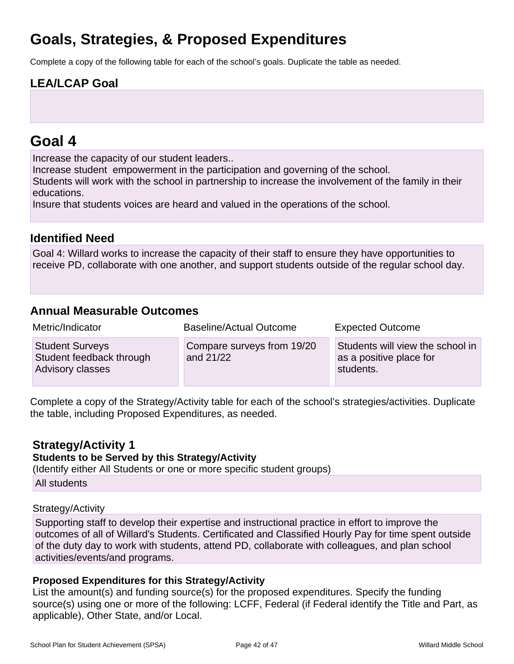# **Goals, Strategies, & Proposed Expenditures**

Complete a copy of the following table for each of the school's goals. Duplicate the table as needed.

# **LEA/LCAP Goal**

# **Goal 4**

Increase the capacity of our student leaders..

Increase student empowerment in the participation and governing of the school. Students will work with the school in partnership to increase the involvement of the family in their educations.

Insure that students voices are heard and valued in the operations of the school.

# **Identified Need**

Goal 4: Willard works to increase the capacity of their staff to ensure they have opportunities to receive PD, collaborate with one another, and support students outside of the regular school day.

### **Annual Measurable Outcomes**

| Metric/Indicator                                                       | <b>Baseline/Actual Outcome</b>          | <b>Expected Outcome</b>                                                  |  |  |  |  |  |
|------------------------------------------------------------------------|-----------------------------------------|--------------------------------------------------------------------------|--|--|--|--|--|
| <b>Student Surveys</b><br>Student feedback through<br>Advisory classes | Compare surveys from 19/20<br>and 21/22 | Students will view the school in<br>as a positive place for<br>students. |  |  |  |  |  |

Complete a copy of the Strategy/Activity table for each of the school's strategies/activities. Duplicate the table, including Proposed Expenditures, as needed.

### **Strategy/Activity 1**

### **Students to be Served by this Strategy/Activity**

(Identify either All Students or one or more specific student groups)

All students

### Strategy/Activity

Supporting staff to develop their expertise and instructional practice in effort to improve the outcomes of all of Willard's Students. Certificated and Classified Hourly Pay for time spent outside of the duty day to work with students, attend PD, collaborate with colleagues, and plan school activities/events/and programs.

### **Proposed Expenditures for this Strategy/Activity**

List the amount(s) and funding source(s) for the proposed expenditures. Specify the funding source(s) using one or more of the following: LCFF, Federal (if Federal identify the Title and Part, as applicable), Other State, and/or Local.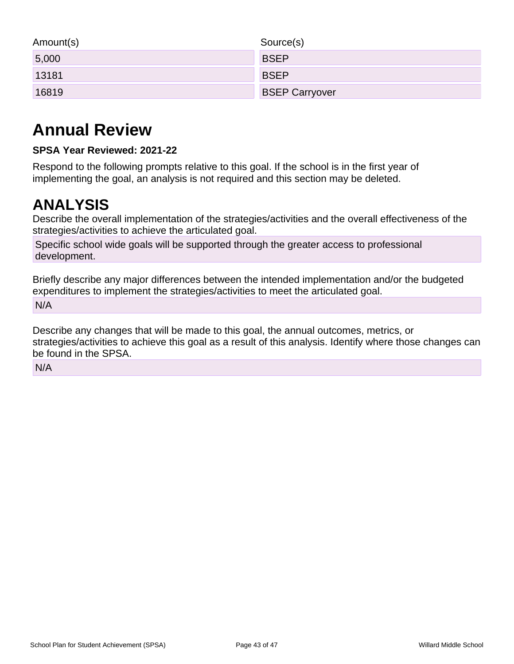| Amount(s) | Source(s)             |
|-----------|-----------------------|
| 5,000     | <b>BSEP</b>           |
| 13181     | <b>BSEP</b>           |
| 16819     | <b>BSEP Carryover</b> |

# **Annual Review**

### **SPSA Year Reviewed: 2021-22**

Respond to the following prompts relative to this goal. If the school is in the first year of implementing the goal, an analysis is not required and this section may be deleted.

# **ANALYSIS**

Describe the overall implementation of the strategies/activities and the overall effectiveness of the strategies/activities to achieve the articulated goal.

Specific school wide goals will be supported through the greater access to professional development.

Briefly describe any major differences between the intended implementation and/or the budgeted expenditures to implement the strategies/activities to meet the articulated goal. N/A

Describe any changes that will be made to this goal, the annual outcomes, metrics, or strategies/activities to achieve this goal as a result of this analysis. Identify where those changes can be found in the SPSA.

N/A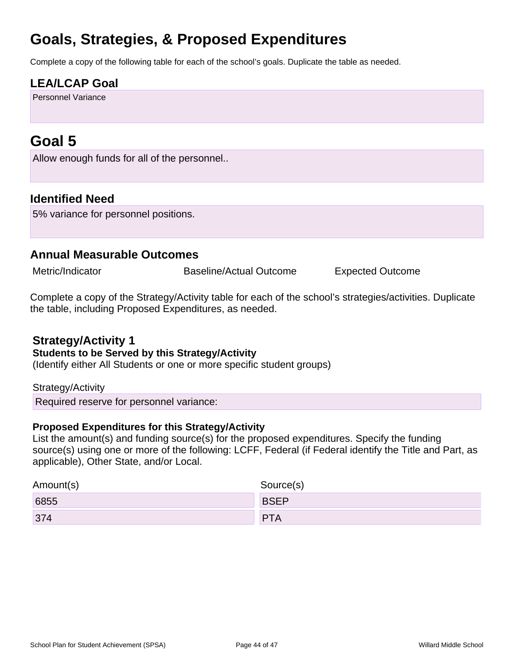# **Goals, Strategies, & Proposed Expenditures**

Complete a copy of the following table for each of the school's goals. Duplicate the table as needed.

# **LEA/LCAP Goal**

Personnel Variance

# **Goal 5**

Allow enough funds for all of the personnel..

### **Identified Need**

5% variance for personnel positions.

### **Annual Measurable Outcomes**

Metric/Indicator **Baseline/Actual Outcome** Expected Outcome

Complete a copy of the Strategy/Activity table for each of the school's strategies/activities. Duplicate the table, including Proposed Expenditures, as needed.

### **Strategy/Activity 1**

#### **Students to be Served by this Strategy/Activity**

(Identify either All Students or one or more specific student groups)

#### Strategy/Activity

Required reserve for personnel variance:

### **Proposed Expenditures for this Strategy/Activity**

List the amount(s) and funding source(s) for the proposed expenditures. Specify the funding source(s) using one or more of the following: LCFF, Federal (if Federal identify the Title and Part, as applicable), Other State, and/or Local.

| Amount(s) | Source(s)   |  |  |  |  |  |  |
|-----------|-------------|--|--|--|--|--|--|
| 6855      | <b>BSEP</b> |  |  |  |  |  |  |
| 374       | <b>PTA</b>  |  |  |  |  |  |  |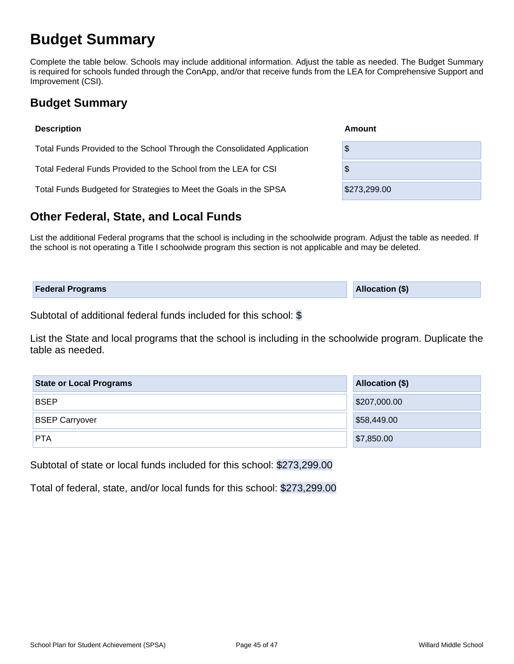# **Budget Summary**

Complete the table below. Schools may include additional information. Adjust the table as needed. The Budget Summary is required for schools funded through the ConApp, and/or that receive funds from the LEA for Comprehensive Support and Improvement (CSI).

# **Budget Summary**

| <b>Description</b>                                                      | Amount       |
|-------------------------------------------------------------------------|--------------|
| Total Funds Provided to the School Through the Consolidated Application | \$           |
| Total Federal Funds Provided to the School from the LEA for CSI         | \$           |
| Total Funds Budgeted for Strategies to Meet the Goals in the SPSA       | \$273,299.00 |

# **Other Federal, State, and Local Funds**

List the additional Federal programs that the school is including in the schoolwide program. Adjust the table as needed. If the school is not operating a Title I schoolwide program this section is not applicable and may be deleted.

| <b>Federal Programs</b> | Allocation (\$) |
|-------------------------|-----------------|
|                         |                 |

Subtotal of additional federal funds included for this school: \$

List the State and local programs that the school is including in the schoolwide program. Duplicate the table as needed.

| <b>State or Local Programs</b> | <b>Allocation (\$)</b> |  |  |  |  |
|--------------------------------|------------------------|--|--|--|--|
| <b>BSEP</b>                    | \$207,000.00           |  |  |  |  |
| <b>BSEP Carryover</b>          | \$58,449.00            |  |  |  |  |
| <b>PTA</b>                     | \$7,850.00             |  |  |  |  |

Subtotal of state or local funds included for this school: \$273,299.00

Total of federal, state, and/or local funds for this school: \$273,299.00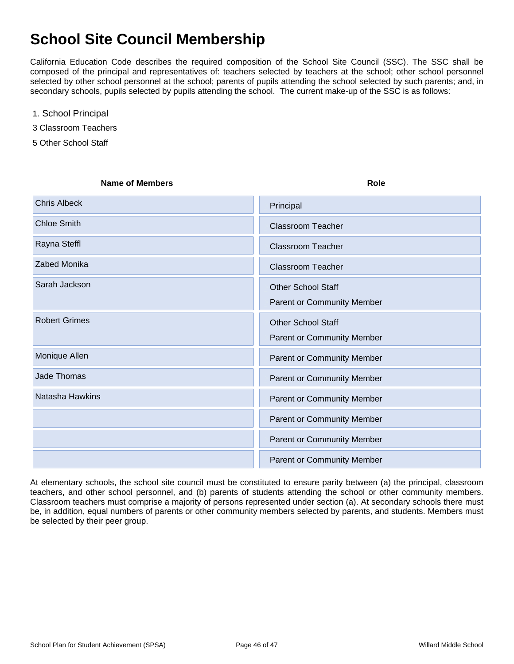# **School Site Council Membership**

California Education Code describes the required composition of the School Site Council (SSC). The SSC shall be composed of the principal and representatives of: teachers selected by teachers at the school; other school personnel selected by other school personnel at the school; parents of pupils attending the school selected by such parents; and, in secondary schools, pupils selected by pupils attending the school. The current make-up of the SSC is as follows:

- 1. School Principal
- 3 Classroom Teachers
- 5 Other School Staff

| <b>Name of Members</b> | <b>Role</b>                       |
|------------------------|-----------------------------------|
| <b>Chris Albeck</b>    | Principal                         |
| <b>Chloe Smith</b>     | <b>Classroom Teacher</b>          |
| Rayna Steffl           | <b>Classroom Teacher</b>          |
| Zabed Monika           | <b>Classroom Teacher</b>          |
| Sarah Jackson          | <b>Other School Staff</b>         |
|                        | <b>Parent or Community Member</b> |
| <b>Robert Grimes</b>   | <b>Other School Staff</b>         |
|                        | <b>Parent or Community Member</b> |
| Monique Allen          | Parent or Community Member        |
| Jade Thomas            | <b>Parent or Community Member</b> |
| Natasha Hawkins        | Parent or Community Member        |
|                        | Parent or Community Member        |
|                        | Parent or Community Member        |
|                        | <b>Parent or Community Member</b> |

At elementary schools, the school site council must be constituted to ensure parity between (a) the principal, classroom teachers, and other school personnel, and (b) parents of students attending the school or other community members. Classroom teachers must comprise a majority of persons represented under section (a). At secondary schools there must be, in addition, equal numbers of parents or other community members selected by parents, and students. Members must be selected by their peer group.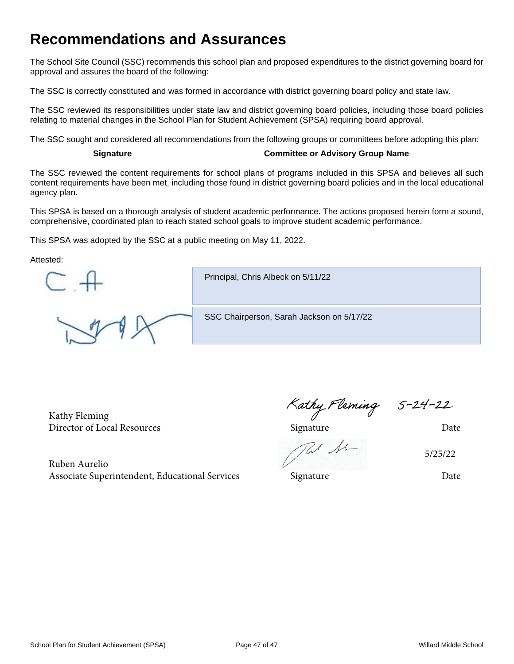# **Recommendations and Assurances**

The School Site Council (SSC) recommends this school plan and proposed expenditures to the district governing board for approval and assures the board of the following:

The SSC is correctly constituted and was formed in accordance with district governing board policy and state law.

The SSC reviewed its responsibilities under state law and district governing board policies, including those board policies relating to material changes in the School Plan for Student Achievement (SPSA) requiring board approval.

The SSC sought and considered all recommendations from the following groups or committees before adopting this plan:

#### **Signature Committee or Advisory Group Name**

The SSC reviewed the content requirements for school plans of programs included in this SPSA and believes all such content requirements have been met, including those found in district governing board policies and in the local educational agency plan.

This SPSA is based on a thorough analysis of student academic performance. The actions proposed herein form a sound, comprehensive, coordinated plan to reach stated school goals to improve student academic performance.

This SPSA was adopted by the SSC at a public meeting on May 11, 2022.

Attested:

Principal, Chris Albeck on 5/11/22 SSC Chairperson, Sarah Jackson on 5/17/22

Kathy Fleming Kathy Fleming S-24-22<br>Director of Local Resources Signature Date

Re fe

5/25/22

Ruben Aurelio Associate Superintendent, Educational Services Signature Signature Date